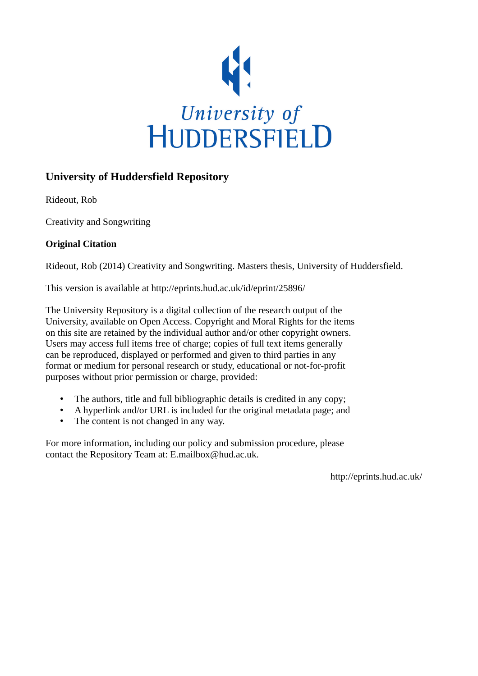

### **University of Huddersfield Repository**

Rideout, Rob

Creativity and Songwriting

#### **Original Citation**

Rideout, Rob (2014) Creativity and Songwriting. Masters thesis, University of Huddersfield.

This version is available at http://eprints.hud.ac.uk/id/eprint/25896/

The University Repository is a digital collection of the research output of the University, available on Open Access. Copyright and Moral Rights for the items on this site are retained by the individual author and/or other copyright owners. Users may access full items free of charge; copies of full text items generally can be reproduced, displayed or performed and given to third parties in any format or medium for personal research or study, educational or not-for-profit purposes without prior permission or charge, provided:

- The authors, title and full bibliographic details is credited in any copy;
- A hyperlink and/or URL is included for the original metadata page; and
- The content is not changed in any way.

For more information, including our policy and submission procedure, please contact the Repository Team at: E.mailbox@hud.ac.uk.

http://eprints.hud.ac.uk/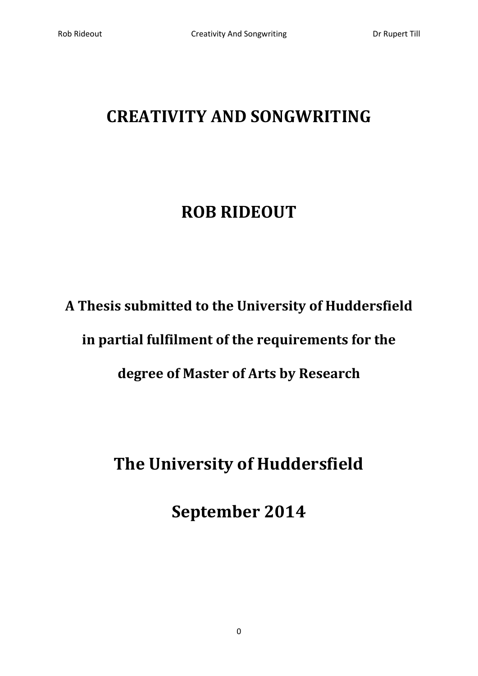## **CREATIVITY AND SONGWRITING**

## **ROB RIDEOUT**

# **A Thesis submitted to the University of Huddersfield**

## **in partial fulfilment of the requirements for the**

## **degree of Master of Arts by Research**

# **The University of Huddersfield**

## **September 2014**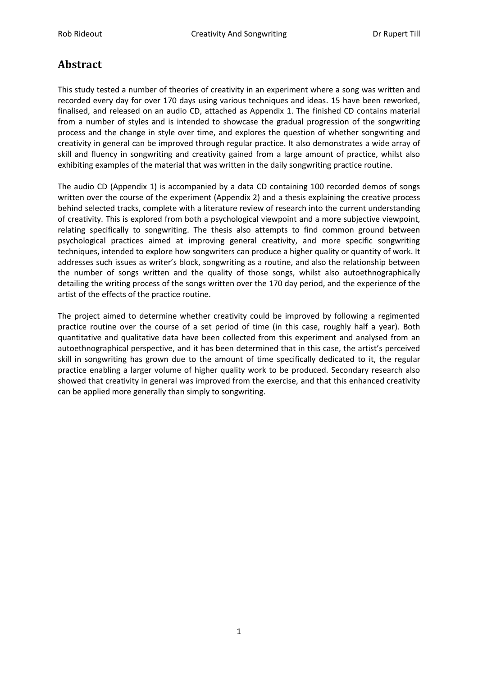### <span id="page-2-0"></span>**Abstract**

This study tested a number of theories of creativity in an experiment where a song was written and recorded every day for over 170 days using various techniques and ideas. 15 have been reworked, finalised, and released on an audio CD, attached as Appendix 1. The finished CD contains material from a number of styles and is intended to showcase the gradual progression of the songwriting process and the change in style over time, and explores the question of whether songwriting and creativity in general can be improved through regular practice. It also demonstrates a wide array of skill and fluency in songwriting and creativity gained from a large amount of practice, whilst also exhibiting examples of the material that was written in the daily songwriting practice routine.

The audio CD (Appendix 1) is accompanied by a data CD containing 100 recorded demos of songs written over the course of the experiment (Appendix 2) and a thesis explaining the creative process behind selected tracks, complete with a literature review of research into the current understanding of creativity. This is explored from both a psychological viewpoint and a more subjective viewpoint, relating specifically to songwriting. The thesis also attempts to find common ground between psychological practices aimed at improving general creativity, and more specific songwriting techniques, intended to explore how songwriters can produce a higher quality or quantity of work. It addresses such issues as writer's block, songwriting as a routine, and also the relationship between the number of songs written and the quality of those songs, whilst also autoethnographically detailing the writing process of the songs written over the 170 day period, and the experience of the artist of the effects of the practice routine.

The project aimed to determine whether creativity could be improved by following a regimented practice routine over the course of a set period of time (in this case, roughly half a year). Both quantitative and qualitative data have been collected from this experiment and analysed from an autoethnographical perspective, and it has been determined that in this case, the artist's perceived skill in songwriting has grown due to the amount of time specifically dedicated to it, the regular practice enabling a larger volume of higher quality work to be produced. Secondary research also showed that creativity in general was improved from the exercise, and that this enhanced creativity can be applied more generally than simply to songwriting.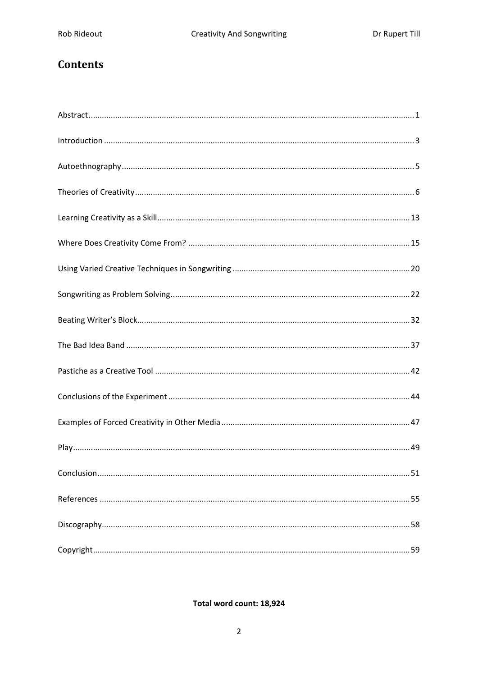### **Contents**

### Total word count: 18,924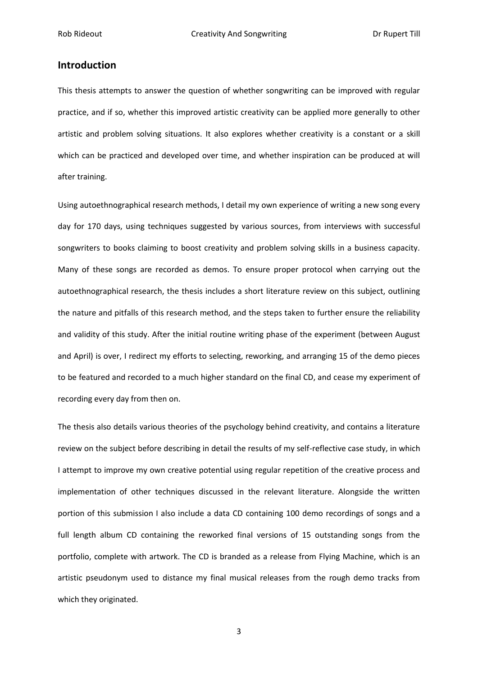#### <span id="page-4-0"></span>**Introduction**

This thesis attempts to answer the question of whether songwriting can be improved with regular practice, and if so, whether this improved artistic creativity can be applied more generally to other artistic and problem solving situations. It also explores whether creativity is a constant or a skill which can be practiced and developed over time, and whether inspiration can be produced at will after training.

Using autoethnographical research methods, I detail my own experience of writing a new song every day for 170 days, using techniques suggested by various sources, from interviews with successful songwriters to books claiming to boost creativity and problem solving skills in a business capacity. Many of these songs are recorded as demos. To ensure proper protocol when carrying out the autoethnographical research, the thesis includes a short literature review on this subject, outlining the nature and pitfalls of this research method, and the steps taken to further ensure the reliability and validity of this study. After the initial routine writing phase of the experiment (between August and April) is over, I redirect my efforts to selecting, reworking, and arranging 15 of the demo pieces to be featured and recorded to a much higher standard on the final CD, and cease my experiment of recording every day from then on.

The thesis also details various theories of the psychology behind creativity, and contains a literature review on the subject before describing in detail the results of my self-reflective case study, in which I attempt to improve my own creative potential using regular repetition of the creative process and implementation of other techniques discussed in the relevant literature. Alongside the written portion of this submission I also include a data CD containing 100 demo recordings of songs and a full length album CD containing the reworked final versions of 15 outstanding songs from the portfolio, complete with artwork. The CD is branded as a release from Flying Machine, which is an artistic pseudonym used to distance my final musical releases from the rough demo tracks from which they originated.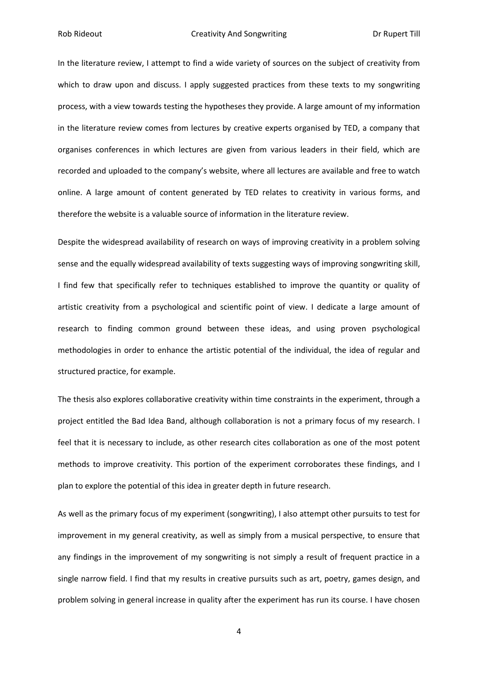In the literature review, I attempt to find a wide variety of sources on the subject of creativity from which to draw upon and discuss. I apply suggested practices from these texts to my songwriting process, with a view towards testing the hypotheses they provide. A large amount of my information in the literature review comes from lectures by creative experts organised by TED, a company that organises conferences in which lectures are given from various leaders in their field, which are recorded and uploaded to the company's website, where all lectures are available and free to watch online. A large amount of content generated by TED relates to creativity in various forms, and therefore the website is a valuable source of information in the literature review.

Despite the widespread availability of research on ways of improving creativity in a problem solving sense and the equally widespread availability of texts suggesting ways of improving songwriting skill, I find few that specifically refer to techniques established to improve the quantity or quality of artistic creativity from a psychological and scientific point of view. I dedicate a large amount of research to finding common ground between these ideas, and using proven psychological methodologies in order to enhance the artistic potential of the individual, the idea of regular and structured practice, for example.

The thesis also explores collaborative creativity within time constraints in the experiment, through a project entitled the Bad Idea Band, although collaboration is not a primary focus of my research. I feel that it is necessary to include, as other research cites collaboration as one of the most potent methods to improve creativity. This portion of the experiment corroborates these findings, and I plan to explore the potential of this idea in greater depth in future research.

As well as the primary focus of my experiment (songwriting), I also attempt other pursuits to test for improvement in my general creativity, as well as simply from a musical perspective, to ensure that any findings in the improvement of my songwriting is not simply a result of frequent practice in a single narrow field. I find that my results in creative pursuits such as art, poetry, games design, and problem solving in general increase in quality after the experiment has run its course. I have chosen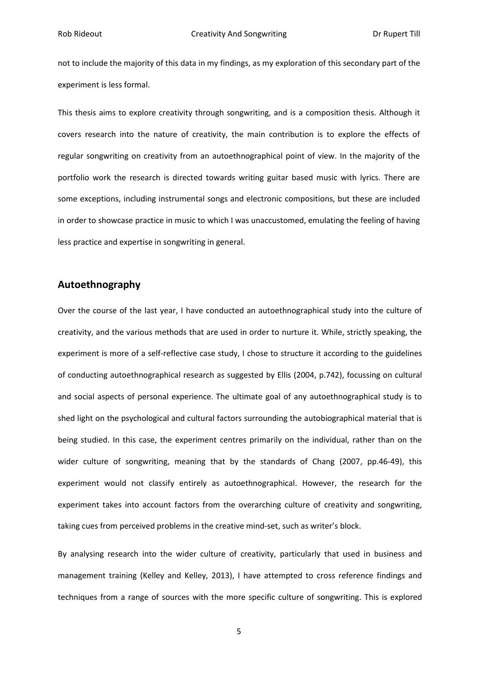not to include the majority of this data in my findings, as my exploration of this secondary part of the experiment is less formal.

This thesis aims to explore creativity through songwriting, and is a composition thesis. Although it covers research into the nature of creativity, the main contribution is to explore the effects of regular songwriting on creativity from an autoethnographical point of view. In the majority of the portfolio work the research is directed towards writing guitar based music with lyrics. There are some exceptions, including instrumental songs and electronic compositions, but these are included in order to showcase practice in music to which I was unaccustomed, emulating the feeling of having less practice and expertise in songwriting in general.

#### <span id="page-6-0"></span>**Autoethnography**

Over the course of the last year, I have conducted an autoethnographical study into the culture of creativity, and the various methods that are used in order to nurture it. While, strictly speaking, the experiment is more of a self-reflective case study, I chose to structure it according to the guidelines of conducting autoethnographical research as suggested by Ellis (2004, p.742), focussing on cultural and social aspects of personal experience. The ultimate goal of any autoethnographical study is to shed light on the psychological and cultural factors surrounding the autobiographical material that is being studied. In this case, the experiment centres primarily on the individual, rather than on the wider culture of songwriting, meaning that by the standards of Chang (2007, pp.46-49), this experiment would not classify entirely as autoethnographical. However, the research for the experiment takes into account factors from the overarching culture of creativity and songwriting, taking cues from perceived problems in the creative mind-set, such as writer's block.

By analysing research into the wider culture of creativity, particularly that used in business and management training (Kelley and Kelley, 2013), I have attempted to cross reference findings and techniques from a range of sources with the more specific culture of songwriting. This is explored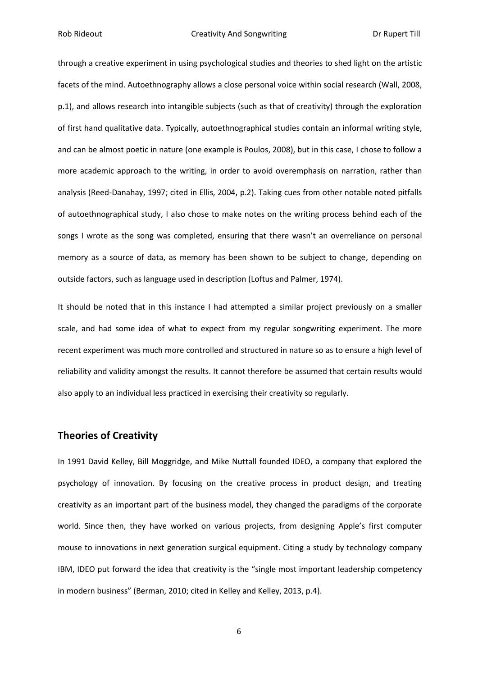through a creative experiment in using psychological studies and theories to shed light on the artistic facets of the mind. Autoethnography allows a close personal voice within social research (Wall, 2008, p.1), and allows research into intangible subjects (such as that of creativity) through the exploration of first hand qualitative data. Typically, autoethnographical studies contain an informal writing style, and can be almost poetic in nature (one example is Poulos, 2008), but in this case, I chose to follow a more academic approach to the writing, in order to avoid overemphasis on narration, rather than analysis (Reed-Danahay, 1997; cited in Ellis, 2004, p.2). Taking cues from other notable noted pitfalls of autoethnographical study, I also chose to make notes on the writing process behind each of the songs I wrote as the song was completed, ensuring that there wasn't an overreliance on personal memory as a source of data, as memory has been shown to be subject to change, depending on outside factors, such as language used in description (Loftus and Palmer, 1974).

It should be noted that in this instance I had attempted a similar project previously on a smaller scale, and had some idea of what to expect from my regular songwriting experiment. The more recent experiment was much more controlled and structured in nature so as to ensure a high level of reliability and validity amongst the results. It cannot therefore be assumed that certain results would also apply to an individual less practiced in exercising their creativity so regularly.

#### <span id="page-7-0"></span>**Theories of Creativity**

In 1991 David Kelley, Bill Moggridge, and Mike Nuttall founded IDEO, a company that explored the psychology of innovation. By focusing on the creative process in product design, and treating creativity as an important part of the business model, they changed the paradigms of the corporate world. Since then, they have worked on various projects, from designing Apple's first computer mouse to innovations in next generation surgical equipment. Citing a study by technology company IBM, IDEO put forward the idea that creativity is the "single most important leadership competency in modern business" (Berman, 2010; cited in Kelley and Kelley, 2013, p.4).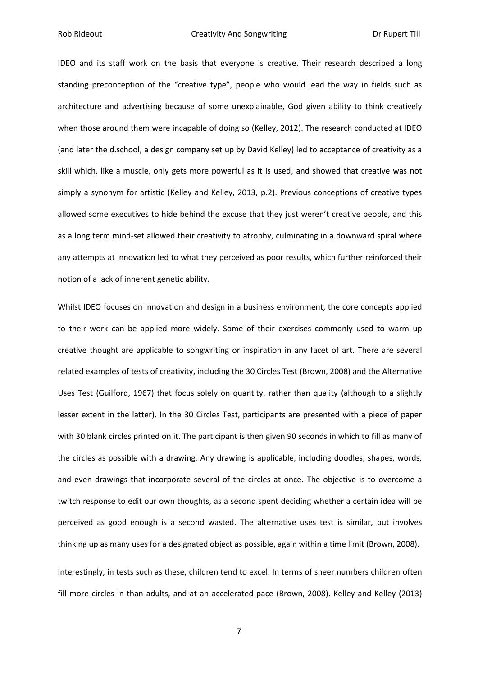IDEO and its staff work on the basis that everyone is creative. Their research described a long standing preconception of the "creative type", people who would lead the way in fields such as architecture and advertising because of some unexplainable, God given ability to think creatively when those around them were incapable of doing so (Kelley, 2012). The research conducted at IDEO (and later the d.school, a design company set up by David Kelley) led to acceptance of creativity as a skill which, like a muscle, only gets more powerful as it is used, and showed that creative was not simply a synonym for artistic (Kelley and Kelley, 2013, p.2). Previous conceptions of creative types allowed some executives to hide behind the excuse that they just weren't creative people, and this as a long term mind-set allowed their creativity to atrophy, culminating in a downward spiral where any attempts at innovation led to what they perceived as poor results, which further reinforced their notion of a lack of inherent genetic ability.

Whilst IDEO focuses on innovation and design in a business environment, the core concepts applied to their work can be applied more widely. Some of their exercises commonly used to warm up creative thought are applicable to songwriting or inspiration in any facet of art. There are several related examples of tests of creativity, including the 30 Circles Test (Brown, 2008) and the Alternative Uses Test (Guilford, 1967) that focus solely on quantity, rather than quality (although to a slightly lesser extent in the latter). In the 30 Circles Test, participants are presented with a piece of paper with 30 blank circles printed on it. The participant is then given 90 seconds in which to fill as many of the circles as possible with a drawing. Any drawing is applicable, including doodles, shapes, words, and even drawings that incorporate several of the circles at once. The objective is to overcome a twitch response to edit our own thoughts, as a second spent deciding whether a certain idea will be perceived as good enough is a second wasted. The alternative uses test is similar, but involves thinking up as many uses for a designated object as possible, again within a time limit (Brown, 2008). Interestingly, in tests such as these, children tend to excel. In terms of sheer numbers children often

fill more circles in than adults, and at an accelerated pace (Brown, 2008). Kelley and Kelley (2013)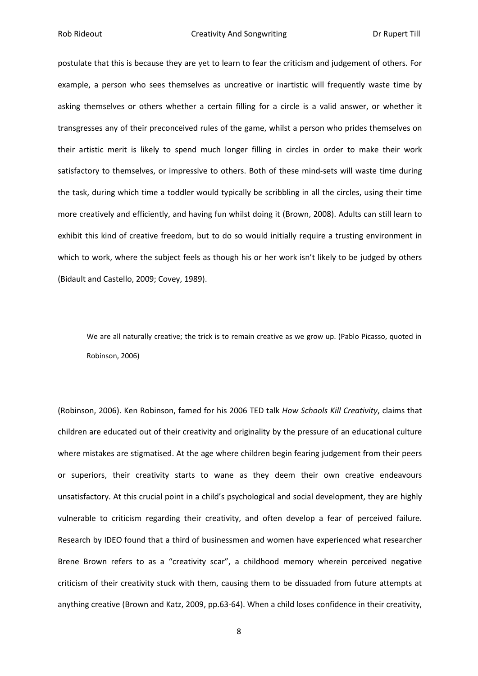postulate that this is because they are yet to learn to fear the criticism and judgement of others. For example, a person who sees themselves as uncreative or inartistic will frequently waste time by asking themselves or others whether a certain filling for a circle is a valid answer, or whether it transgresses any of their preconceived rules of the game, whilst a person who prides themselves on their artistic merit is likely to spend much longer filling in circles in order to make their work satisfactory to themselves, or impressive to others. Both of these mind-sets will waste time during the task, during which time a toddler would typically be scribbling in all the circles, using their time more creatively and efficiently, and having fun whilst doing it (Brown, 2008). Adults can still learn to exhibit this kind of creative freedom, but to do so would initially require a trusting environment in which to work, where the subject feels as though his or her work isn't likely to be judged by others (Bidault and Castello, 2009; Covey, 1989).

We are all naturally creative; the trick is to remain creative as we grow up. (Pablo Picasso, quoted in Robinson, 2006)

(Robinson, 2006). Ken Robinson, famed for his 2006 TED talk *How Schools Kill Creativity*, claims that children are educated out of their creativity and originality by the pressure of an educational culture where mistakes are stigmatised. At the age where children begin fearing judgement from their peers or superiors, their creativity starts to wane as they deem their own creative endeavours unsatisfactory. At this crucial point in a child's psychological and social development, they are highly vulnerable to criticism regarding their creativity, and often develop a fear of perceived failure. Research by IDEO found that a third of businessmen and women have experienced what researcher Brene Brown refers to as a "creativity scar", a childhood memory wherein perceived negative criticism of their creativity stuck with them, causing them to be dissuaded from future attempts at anything creative (Brown and Katz, 2009, pp.63-64). When a child loses confidence in their creativity,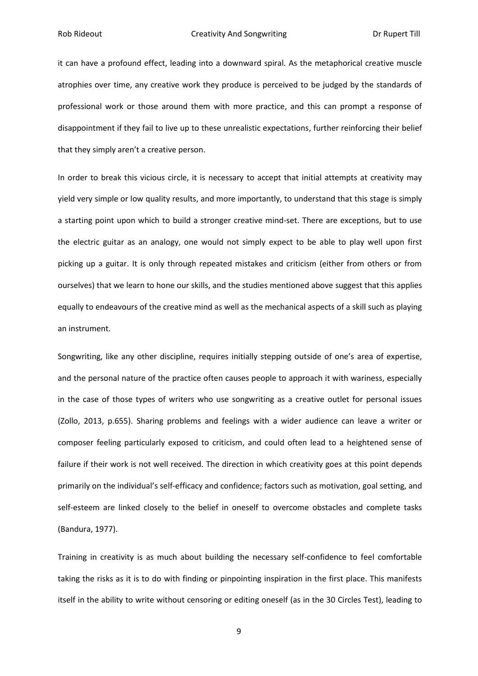it can have a profound effect, leading into a downward spiral. As the metaphorical creative muscle atrophies over time, any creative work they produce is perceived to be judged by the standards of professional work or those around them with more practice, and this can prompt a response of disappointment if they fail to live up to these unrealistic expectations, further reinforcing their belief that they simply aren't a creative person.

In order to break this vicious circle, it is necessary to accept that initial attempts at creativity may yield very simple or low quality results, and more importantly, to understand that this stage is simply a starting point upon which to build a stronger creative mind-set. There are exceptions, but to use the electric guitar as an analogy, one would not simply expect to be able to play well upon first picking up a guitar. It is only through repeated mistakes and criticism (either from others or from ourselves) that we learn to hone our skills, and the studies mentioned above suggest that this applies equally to endeavours of the creative mind as well as the mechanical aspects of a skill such as playing an instrument.

Songwriting, like any other discipline, requires initially stepping outside of one's area of expertise, and the personal nature of the practice often causes people to approach it with wariness, especially in the case of those types of writers who use songwriting as a creative outlet for personal issues (Zollo, 2013, p.655). Sharing problems and feelings with a wider audience can leave a writer or composer feeling particularly exposed to criticism, and could often lead to a heightened sense of failure if their work is not well received. The direction in which creativity goes at this point depends primarily on the individual's self-efficacy and confidence; factors such as motivation, goal setting, and self-esteem are linked closely to the belief in oneself to overcome obstacles and complete tasks (Bandura, 1977).

Training in creativity is as much about building the necessary self-confidence to feel comfortable taking the risks as it is to do with finding or pinpointing inspiration in the first place. This manifests itself in the ability to write without censoring or editing oneself (as in the 30 Circles Test), leading to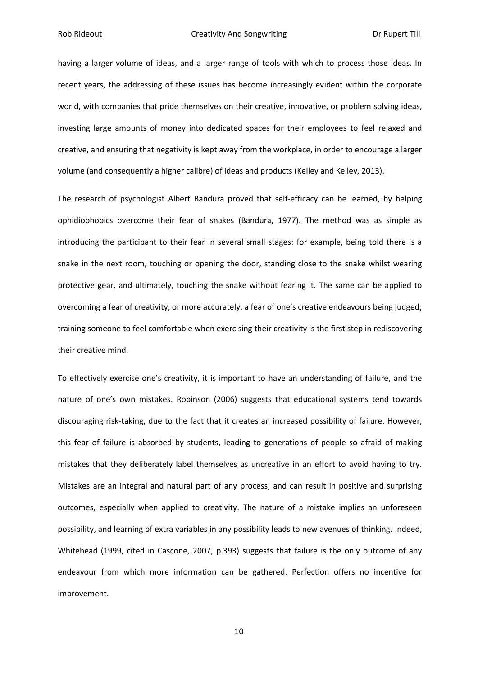having a larger volume of ideas, and a larger range of tools with which to process those ideas. In recent years, the addressing of these issues has become increasingly evident within the corporate world, with companies that pride themselves on their creative, innovative, or problem solving ideas, investing large amounts of money into dedicated spaces for their employees to feel relaxed and creative, and ensuring that negativity is kept away from the workplace, in order to encourage a larger volume (and consequently a higher calibre) of ideas and products (Kelley and Kelley, 2013).

The research of psychologist Albert Bandura proved that self-efficacy can be learned, by helping ophidiophobics overcome their fear of snakes (Bandura, 1977). The method was as simple as introducing the participant to their fear in several small stages: for example, being told there is a snake in the next room, touching or opening the door, standing close to the snake whilst wearing protective gear, and ultimately, touching the snake without fearing it. The same can be applied to overcoming a fear of creativity, or more accurately, a fear of one's creative endeavours being judged; training someone to feel comfortable when exercising their creativity is the first step in rediscovering their creative mind.

To effectively exercise one's creativity, it is important to have an understanding of failure, and the nature of one's own mistakes. Robinson (2006) suggests that educational systems tend towards discouraging risk-taking, due to the fact that it creates an increased possibility of failure. However, this fear of failure is absorbed by students, leading to generations of people so afraid of making mistakes that they deliberately label themselves as uncreative in an effort to avoid having to try. Mistakes are an integral and natural part of any process, and can result in positive and surprising outcomes, especially when applied to creativity. The nature of a mistake implies an unforeseen possibility, and learning of extra variables in any possibility leads to new avenues of thinking. Indeed, Whitehead (1999, cited in Cascone, 2007, p.393) suggests that failure is the only outcome of any endeavour from which more information can be gathered. Perfection offers no incentive for improvement.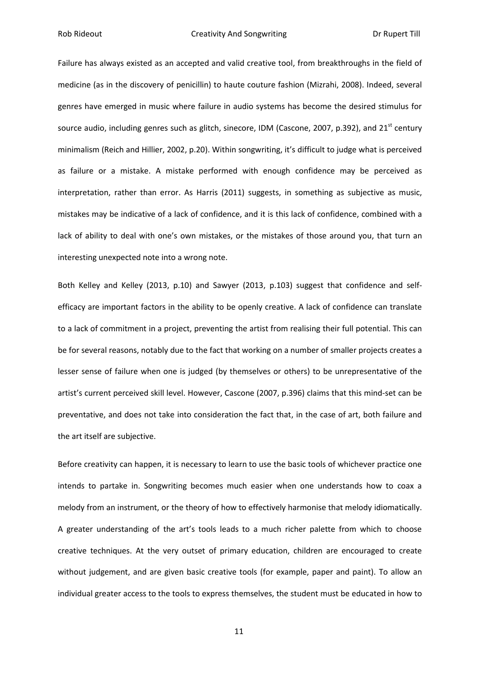Failure has always existed as an accepted and valid creative tool, from breakthroughs in the field of medicine (as in the discovery of penicillin) to haute couture fashion (Mizrahi, 2008). Indeed, several genres have emerged in music where failure in audio systems has become the desired stimulus for source audio, including genres such as glitch, sinecore, IDM (Cascone, 2007, p.392), and 21<sup>st</sup> century minimalism (Reich and Hillier, 2002, p.20). Within songwriting, it's difficult to judge what is perceived as failure or a mistake. A mistake performed with enough confidence may be perceived as interpretation, rather than error. As Harris (2011) suggests, in something as subjective as music, mistakes may be indicative of a lack of confidence, and it is this lack of confidence, combined with a lack of ability to deal with one's own mistakes, or the mistakes of those around you, that turn an interesting unexpected note into a wrong note.

Both Kelley and Kelley (2013, p.10) and Sawyer (2013, p.103) suggest that confidence and selfefficacy are important factors in the ability to be openly creative. A lack of confidence can translate to a lack of commitment in a project, preventing the artist from realising their full potential. This can be for several reasons, notably due to the fact that working on a number of smaller projects creates a lesser sense of failure when one is judged (by themselves or others) to be unrepresentative of the artist's current perceived skill level. However, Cascone (2007, p.396) claims that this mind-set can be preventative, and does not take into consideration the fact that, in the case of art, both failure and the art itself are subjective.

Before creativity can happen, it is necessary to learn to use the basic tools of whichever practice one intends to partake in. Songwriting becomes much easier when one understands how to coax a melody from an instrument, or the theory of how to effectively harmonise that melody idiomatically. A greater understanding of the art's tools leads to a much richer palette from which to choose creative techniques. At the very outset of primary education, children are encouraged to create without judgement, and are given basic creative tools (for example, paper and paint). To allow an individual greater access to the tools to express themselves, the student must be educated in how to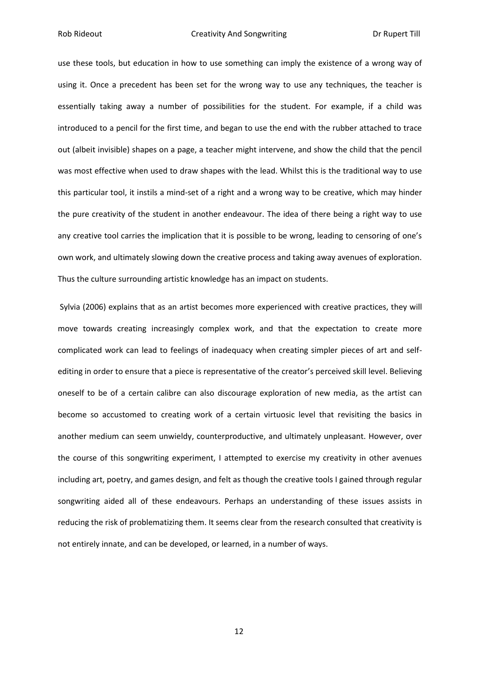use these tools, but education in how to use something can imply the existence of a wrong way of using it. Once a precedent has been set for the wrong way to use any techniques, the teacher is essentially taking away a number of possibilities for the student. For example, if a child was introduced to a pencil for the first time, and began to use the end with the rubber attached to trace out (albeit invisible) shapes on a page, a teacher might intervene, and show the child that the pencil was most effective when used to draw shapes with the lead. Whilst this is the traditional way to use this particular tool, it instils a mind-set of a right and a wrong way to be creative, which may hinder the pure creativity of the student in another endeavour. The idea of there being a right way to use any creative tool carries the implication that it is possible to be wrong, leading to censoring of one's own work, and ultimately slowing down the creative process and taking away avenues of exploration. Thus the culture surrounding artistic knowledge has an impact on students.

Sylvia (2006) explains that as an artist becomes more experienced with creative practices, they will move towards creating increasingly complex work, and that the expectation to create more complicated work can lead to feelings of inadequacy when creating simpler pieces of art and selfediting in order to ensure that a piece is representative of the creator's perceived skill level. Believing oneself to be of a certain calibre can also discourage exploration of new media, as the artist can become so accustomed to creating work of a certain virtuosic level that revisiting the basics in another medium can seem unwieldy, counterproductive, and ultimately unpleasant. However, over the course of this songwriting experiment, I attempted to exercise my creativity in other avenues including art, poetry, and games design, and felt as though the creative tools I gained through regular songwriting aided all of these endeavours. Perhaps an understanding of these issues assists in reducing the risk of problematizing them. It seems clear from the research consulted that creativity is not entirely innate, and can be developed, or learned, in a number of ways.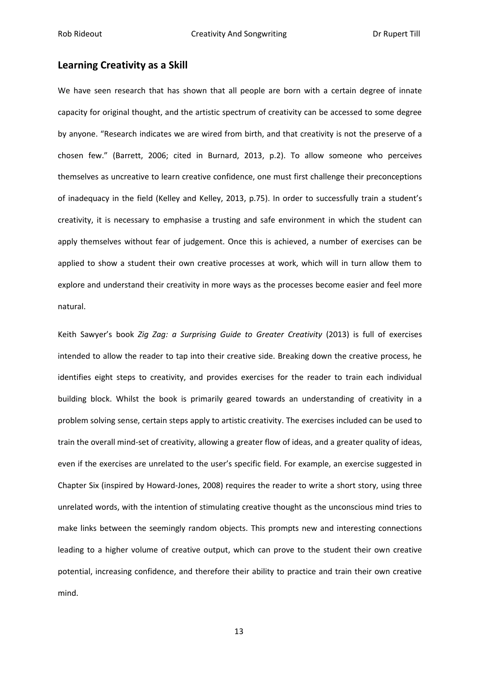#### <span id="page-14-0"></span>**Learning Creativity as a Skill**

We have seen research that has shown that all people are born with a certain degree of innate capacity for original thought, and the artistic spectrum of creativity can be accessed to some degree by anyone. "Research indicates we are wired from birth, and that creativity is not the preserve of a chosen few." (Barrett, 2006; cited in Burnard, 2013, p.2). To allow someone who perceives themselves as uncreative to learn creative confidence, one must first challenge their preconceptions of inadequacy in the field (Kelley and Kelley, 2013, p.75). In order to successfully train a student's creativity, it is necessary to emphasise a trusting and safe environment in which the student can apply themselves without fear of judgement. Once this is achieved, a number of exercises can be applied to show a student their own creative processes at work, which will in turn allow them to explore and understand their creativity in more ways as the processes become easier and feel more natural.

Keith Sawyer's book *Zig Zag: a Surprising Guide to Greater Creativity* (2013) is full of exercises intended to allow the reader to tap into their creative side. Breaking down the creative process, he identifies eight steps to creativity, and provides exercises for the reader to train each individual building block. Whilst the book is primarily geared towards an understanding of creativity in a problem solving sense, certain steps apply to artistic creativity. The exercises included can be used to train the overall mind-set of creativity, allowing a greater flow of ideas, and a greater quality of ideas, even if the exercises are unrelated to the user's specific field. For example, an exercise suggested in Chapter Six (inspired by Howard-Jones, 2008) requires the reader to write a short story, using three unrelated words, with the intention of stimulating creative thought as the unconscious mind tries to make links between the seemingly random objects. This prompts new and interesting connections leading to a higher volume of creative output, which can prove to the student their own creative potential, increasing confidence, and therefore their ability to practice and train their own creative mind.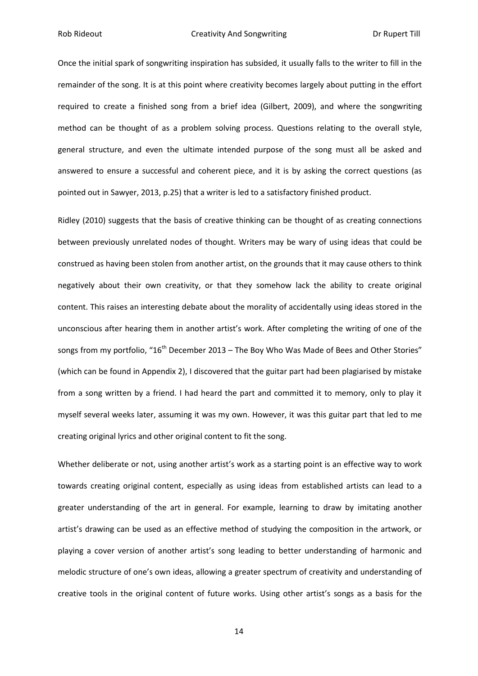Once the initial spark of songwriting inspiration has subsided, it usually falls to the writer to fill in the remainder of the song. It is at this point where creativity becomes largely about putting in the effort required to create a finished song from a brief idea (Gilbert, 2009), and where the songwriting method can be thought of as a problem solving process. Questions relating to the overall style, general structure, and even the ultimate intended purpose of the song must all be asked and answered to ensure a successful and coherent piece, and it is by asking the correct questions (as pointed out in Sawyer, 2013, p.25) that a writer is led to a satisfactory finished product.

Ridley (2010) suggests that the basis of creative thinking can be thought of as creating connections between previously unrelated nodes of thought. Writers may be wary of using ideas that could be construed as having been stolen from another artist, on the grounds that it may cause others to think negatively about their own creativity, or that they somehow lack the ability to create original content. This raises an interesting debate about the morality of accidentally using ideas stored in the unconscious after hearing them in another artist's work. After completing the writing of one of the songs from my portfolio, " $16<sup>th</sup>$  December 2013 – The Boy Who Was Made of Bees and Other Stories" (which can be found in Appendix 2), I discovered that the guitar part had been plagiarised by mistake from a song written by a friend. I had heard the part and committed it to memory, only to play it myself several weeks later, assuming it was my own. However, it was this guitar part that led to me creating original lyrics and other original content to fit the song.

Whether deliberate or not, using another artist's work as a starting point is an effective way to work towards creating original content, especially as using ideas from established artists can lead to a greater understanding of the art in general. For example, learning to draw by imitating another artist's drawing can be used as an effective method of studying the composition in the artwork, or playing a cover version of another artist's song leading to better understanding of harmonic and melodic structure of one's own ideas, allowing a greater spectrum of creativity and understanding of creative tools in the original content of future works. Using other artist's songs as a basis for the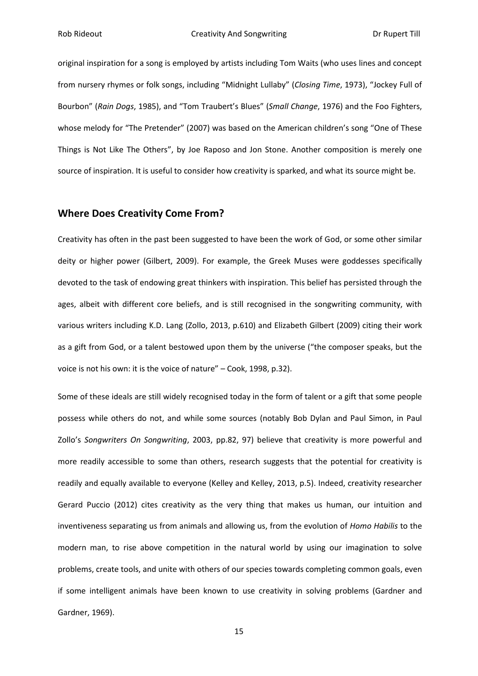original inspiration for a song is employed by artists including Tom Waits (who uses lines and concept from nursery rhymes or folk songs, including "Midnight Lullaby" (*Closing Time*, 1973), "Jockey Full of Bourbon" (*Rain Dogs*, 1985), and "Tom Traubert's Blues" (*Small Change*, 1976) and the Foo Fighters, whose melody for "The Pretender" (2007) was based on the American children's song "One of These Things is Not Like The Others", by Joe Raposo and Jon Stone. Another composition is merely one source of inspiration. It is useful to consider how creativity is sparked, and what its source might be.

#### <span id="page-16-0"></span>**Where Does Creativity Come From?**

Creativity has often in the past been suggested to have been the work of God, or some other similar deity or higher power (Gilbert, 2009). For example, the Greek Muses were goddesses specifically devoted to the task of endowing great thinkers with inspiration. This belief has persisted through the ages, albeit with different core beliefs, and is still recognised in the songwriting community, with various writers including K.D. Lang (Zollo, 2013, p.610) and Elizabeth Gilbert (2009) citing their work as a gift from God, or a talent bestowed upon them by the universe ("the composer speaks, but the voice is not his own: it is the voice of nature" – Cook, 1998, p.32).

Some of these ideals are still widely recognised today in the form of talent or a gift that some people possess while others do not, and while some sources (notably Bob Dylan and Paul Simon, in Paul Zollo's *Songwriters On Songwriting*, 2003, pp.82, 97) believe that creativity is more powerful and more readily accessible to some than others, research suggests that the potential for creativity is readily and equally available to everyone (Kelley and Kelley, 2013, p.5). Indeed, creativity researcher Gerard Puccio (2012) cites creativity as the very thing that makes us human, our intuition and inventiveness separating us from animals and allowing us, from the evolution of *Homo Habilis* to the modern man, to rise above competition in the natural world by using our imagination to solve problems, create tools, and unite with others of our species towards completing common goals, even if some intelligent animals have been known to use creativity in solving problems (Gardner and Gardner, 1969).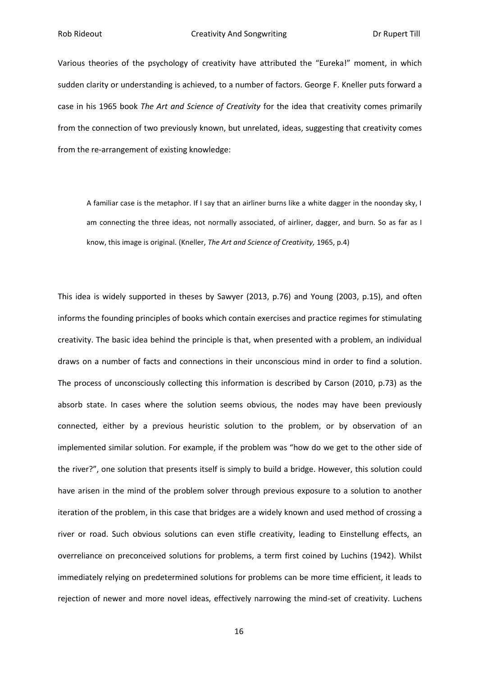Various theories of the psychology of creativity have attributed the "Eureka!" moment, in which sudden clarity or understanding is achieved, to a number of factors. George F. Kneller puts forward a case in his 1965 book *The Art and Science of Creativity* for the idea that creativity comes primarily from the connection of two previously known, but unrelated, ideas, suggesting that creativity comes from the re-arrangement of existing knowledge:

A familiar case is the metaphor. If I say that an airliner burns like a white dagger in the noonday sky, I am connecting the three ideas, not normally associated, of airliner, dagger, and burn. So as far as I know, this image is original. (Kneller, *The Art and Science of Creativity,* 1965, p.4)

This idea is widely supported in theses by Sawyer (2013, p.76) and Young (2003, p.15), and often informs the founding principles of books which contain exercises and practice regimes for stimulating creativity. The basic idea behind the principle is that, when presented with a problem, an individual draws on a number of facts and connections in their unconscious mind in order to find a solution. The process of unconsciously collecting this information is described by Carson (2010, p.73) as the absorb state. In cases where the solution seems obvious, the nodes may have been previously connected, either by a previous heuristic solution to the problem, or by observation of an implemented similar solution. For example, if the problem was "how do we get to the other side of the river?", one solution that presents itself is simply to build a bridge. However, this solution could have arisen in the mind of the problem solver through previous exposure to a solution to another iteration of the problem, in this case that bridges are a widely known and used method of crossing a river or road. Such obvious solutions can even stifle creativity, leading to Einstellung effects, an overreliance on preconceived solutions for problems, a term first coined by Luchins (1942). Whilst immediately relying on predetermined solutions for problems can be more time efficient, it leads to rejection of newer and more novel ideas, effectively narrowing the mind-set of creativity. Luchens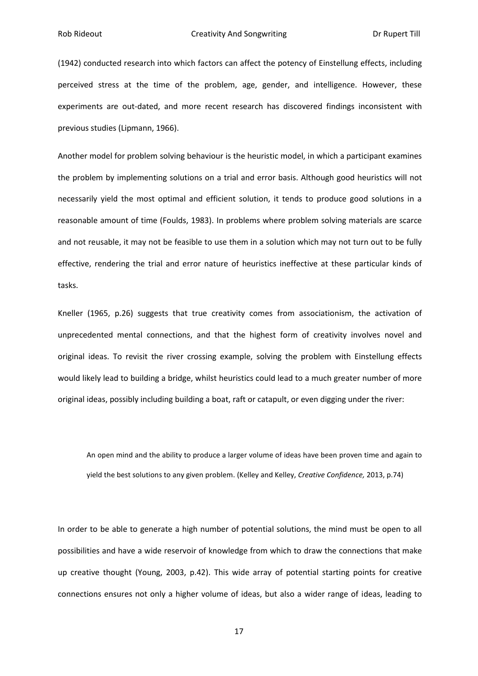(1942) conducted research into which factors can affect the potency of Einstellung effects, including perceived stress at the time of the problem, age, gender, and intelligence. However, these experiments are out-dated, and more recent research has discovered findings inconsistent with previous studies (Lipmann, 1966).

Another model for problem solving behaviour is the heuristic model, in which a participant examines the problem by implementing solutions on a trial and error basis. Although good heuristics will not necessarily yield the most optimal and efficient solution, it tends to produce good solutions in a reasonable amount of time (Foulds, 1983). In problems where problem solving materials are scarce and not reusable, it may not be feasible to use them in a solution which may not turn out to be fully effective, rendering the trial and error nature of heuristics ineffective at these particular kinds of tasks.

Kneller (1965, p.26) suggests that true creativity comes from associationism, the activation of unprecedented mental connections, and that the highest form of creativity involves novel and original ideas. To revisit the river crossing example, solving the problem with Einstellung effects would likely lead to building a bridge, whilst heuristics could lead to a much greater number of more original ideas, possibly including building a boat, raft or catapult, or even digging under the river:

An open mind and the ability to produce a larger volume of ideas have been proven time and again to yield the best solutions to any given problem. (Kelley and Kelley, *Creative Confidence,* 2013, p.74)

In order to be able to generate a high number of potential solutions, the mind must be open to all possibilities and have a wide reservoir of knowledge from which to draw the connections that make up creative thought (Young, 2003, p.42). This wide array of potential starting points for creative connections ensures not only a higher volume of ideas, but also a wider range of ideas, leading to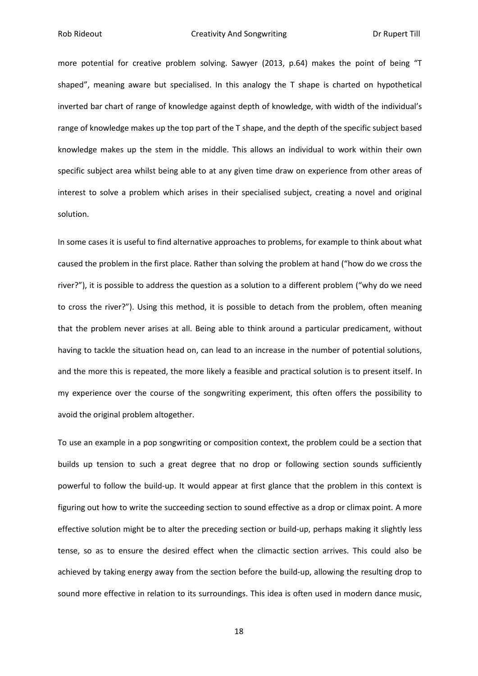more potential for creative problem solving. Sawyer (2013, p.64) makes the point of being "T shaped", meaning aware but specialised. In this analogy the T shape is charted on hypothetical inverted bar chart of range of knowledge against depth of knowledge, with width of the individual's range of knowledge makes up the top part of the T shape, and the depth of the specific subject based knowledge makes up the stem in the middle. This allows an individual to work within their own specific subject area whilst being able to at any given time draw on experience from other areas of interest to solve a problem which arises in their specialised subject, creating a novel and original solution.

In some cases it is useful to find alternative approaches to problems, for example to think about what caused the problem in the first place. Rather than solving the problem at hand ("how do we cross the river?"), it is possible to address the question as a solution to a different problem ("why do we need to cross the river?"). Using this method, it is possible to detach from the problem, often meaning that the problem never arises at all. Being able to think around a particular predicament, without having to tackle the situation head on, can lead to an increase in the number of potential solutions, and the more this is repeated, the more likely a feasible and practical solution is to present itself. In my experience over the course of the songwriting experiment, this often offers the possibility to avoid the original problem altogether.

To use an example in a pop songwriting or composition context, the problem could be a section that builds up tension to such a great degree that no drop or following section sounds sufficiently powerful to follow the build-up. It would appear at first glance that the problem in this context is figuring out how to write the succeeding section to sound effective as a drop or climax point. A more effective solution might be to alter the preceding section or build-up, perhaps making it slightly less tense, so as to ensure the desired effect when the climactic section arrives. This could also be achieved by taking energy away from the section before the build-up, allowing the resulting drop to sound more effective in relation to its surroundings. This idea is often used in modern dance music,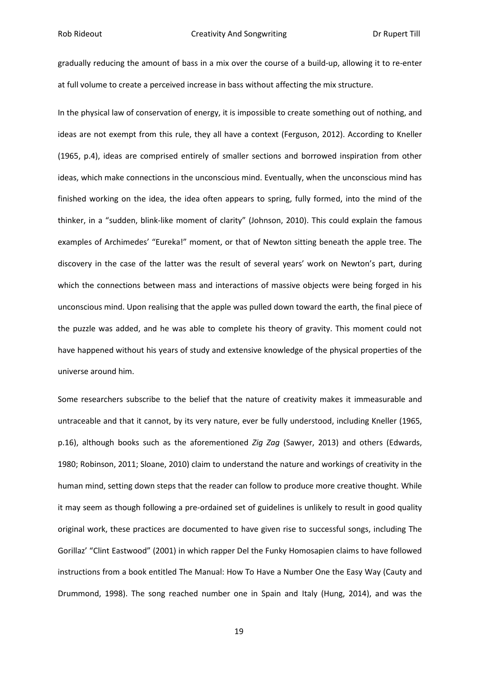gradually reducing the amount of bass in a mix over the course of a build-up, allowing it to re-enter at full volume to create a perceived increase in bass without affecting the mix structure.

In the physical law of conservation of energy, it is impossible to create something out of nothing, and ideas are not exempt from this rule, they all have a context (Ferguson, 2012). According to Kneller (1965, p.4), ideas are comprised entirely of smaller sections and borrowed inspiration from other ideas, which make connections in the unconscious mind. Eventually, when the unconscious mind has finished working on the idea, the idea often appears to spring, fully formed, into the mind of the thinker, in a "sudden, blink-like moment of clarity" (Johnson, 2010). This could explain the famous examples of Archimedes' "Eureka!" moment, or that of Newton sitting beneath the apple tree. The discovery in the case of the latter was the result of several years' work on Newton's part, during which the connections between mass and interactions of massive objects were being forged in his unconscious mind. Upon realising that the apple was pulled down toward the earth, the final piece of the puzzle was added, and he was able to complete his theory of gravity. This moment could not have happened without his years of study and extensive knowledge of the physical properties of the universe around him.

Some researchers subscribe to the belief that the nature of creativity makes it immeasurable and untraceable and that it cannot, by its very nature, ever be fully understood, including Kneller (1965, p.16), although books such as the aforementioned *Zig Zag* (Sawyer, 2013) and others (Edwards, 1980; Robinson, 2011; Sloane, 2010) claim to understand the nature and workings of creativity in the human mind, setting down steps that the reader can follow to produce more creative thought. While it may seem as though following a pre-ordained set of guidelines is unlikely to result in good quality original work, these practices are documented to have given rise to successful songs, including The Gorillaz' "Clint Eastwood" (2001) in which rapper Del the Funky Homosapien claims to have followed instructions from a book entitled The Manual: How To Have a Number One the Easy Way (Cauty and Drummond, 1998). The song reached number one in Spain and Italy (Hung, 2014), and was the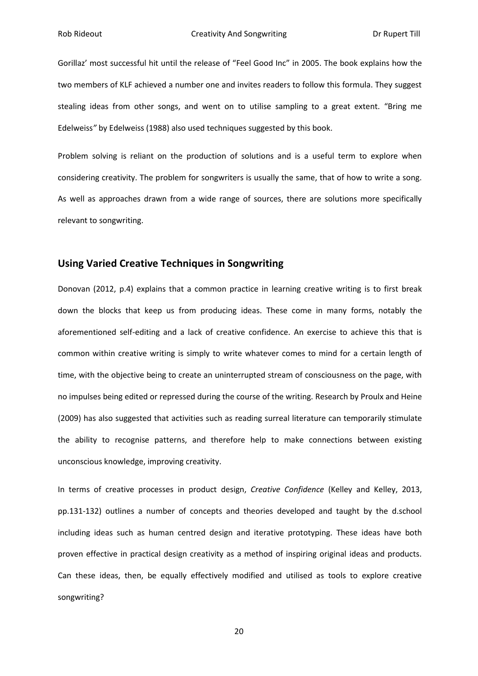Gorillaz' most successful hit until the release of "Feel Good Inc" in 2005. The book explains how the two members of KLF achieved a number one and invites readers to follow this formula. They suggest stealing ideas from other songs, and went on to utilise sampling to a great extent. "Bring me Edelweiss*"* by Edelweiss (1988) also used techniques suggested by this book.

Problem solving is reliant on the production of solutions and is a useful term to explore when considering creativity. The problem for songwriters is usually the same, that of how to write a song. As well as approaches drawn from a wide range of sources, there are solutions more specifically relevant to songwriting.

#### <span id="page-21-0"></span>**Using Varied Creative Techniques in Songwriting**

Donovan (2012, p.4) explains that a common practice in learning creative writing is to first break down the blocks that keep us from producing ideas. These come in many forms, notably the aforementioned self-editing and a lack of creative confidence. An exercise to achieve this that is common within creative writing is simply to write whatever comes to mind for a certain length of time, with the objective being to create an uninterrupted stream of consciousness on the page, with no impulses being edited or repressed during the course of the writing. Research by Proulx and Heine (2009) has also suggested that activities such as reading surreal literature can temporarily stimulate the ability to recognise patterns, and therefore help to make connections between existing unconscious knowledge, improving creativity.

In terms of creative processes in product design, *Creative Confidence* (Kelley and Kelley, 2013, pp.131-132) outlines a number of concepts and theories developed and taught by the d.school including ideas such as human centred design and iterative prototyping. These ideas have both proven effective in practical design creativity as a method of inspiring original ideas and products. Can these ideas, then, be equally effectively modified and utilised as tools to explore creative songwriting?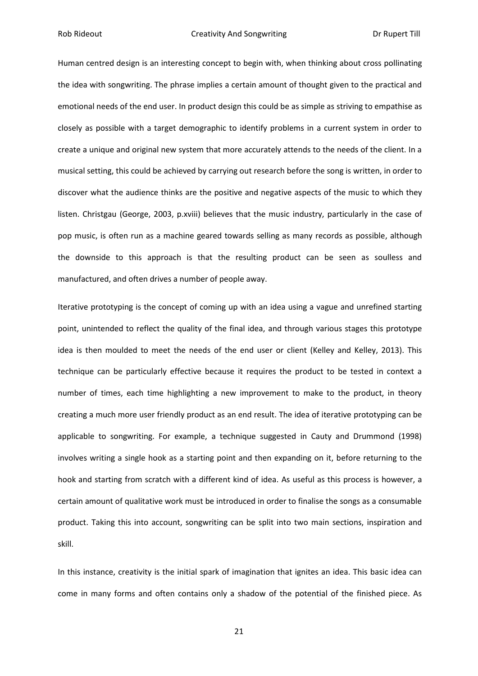Human centred design is an interesting concept to begin with, when thinking about cross pollinating the idea with songwriting. The phrase implies a certain amount of thought given to the practical and emotional needs of the end user. In product design this could be as simple as striving to empathise as closely as possible with a target demographic to identify problems in a current system in order to create a unique and original new system that more accurately attends to the needs of the client. In a musical setting, this could be achieved by carrying out research before the song is written, in order to discover what the audience thinks are the positive and negative aspects of the music to which they listen. Christgau (George, 2003, p.xviii) believes that the music industry, particularly in the case of pop music, is often run as a machine geared towards selling as many records as possible, although the downside to this approach is that the resulting product can be seen as soulless and manufactured, and often drives a number of people away.

Iterative prototyping is the concept of coming up with an idea using a vague and unrefined starting point, unintended to reflect the quality of the final idea, and through various stages this prototype idea is then moulded to meet the needs of the end user or client (Kelley and Kelley, 2013). This technique can be particularly effective because it requires the product to be tested in context a number of times, each time highlighting a new improvement to make to the product, in theory creating a much more user friendly product as an end result. The idea of iterative prototyping can be applicable to songwriting. For example, a technique suggested in Cauty and Drummond (1998) involves writing a single hook as a starting point and then expanding on it, before returning to the hook and starting from scratch with a different kind of idea. As useful as this process is however, a certain amount of qualitative work must be introduced in order to finalise the songs as a consumable product. Taking this into account, songwriting can be split into two main sections, inspiration and skill.

In this instance, creativity is the initial spark of imagination that ignites an idea. This basic idea can come in many forms and often contains only a shadow of the potential of the finished piece. As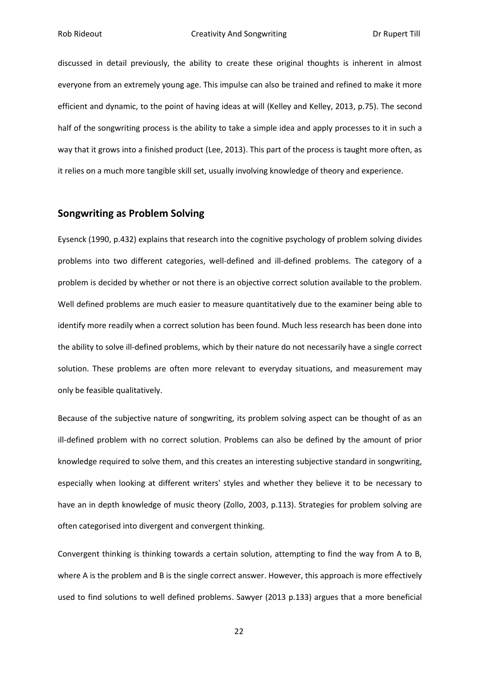discussed in detail previously, the ability to create these original thoughts is inherent in almost everyone from an extremely young age. This impulse can also be trained and refined to make it more efficient and dynamic, to the point of having ideas at will (Kelley and Kelley, 2013, p.75). The second half of the songwriting process is the ability to take a simple idea and apply processes to it in such a way that it grows into a finished product (Lee, 2013). This part of the process is taught more often, as it relies on a much more tangible skill set, usually involving knowledge of theory and experience.

#### <span id="page-23-0"></span>**Songwriting as Problem Solving**

Eysenck (1990, p.432) explains that research into the cognitive psychology of problem solving divides problems into two different categories, well-defined and ill-defined problems. The category of a problem is decided by whether or not there is an objective correct solution available to the problem. Well defined problems are much easier to measure quantitatively due to the examiner being able to identify more readily when a correct solution has been found. Much less research has been done into the ability to solve ill-defined problems, which by their nature do not necessarily have a single correct solution. These problems are often more relevant to everyday situations, and measurement may only be feasible qualitatively.

Because of the subjective nature of songwriting, its problem solving aspect can be thought of as an ill-defined problem with no correct solution. Problems can also be defined by the amount of prior knowledge required to solve them, and this creates an interesting subjective standard in songwriting, especially when looking at different writers' styles and whether they believe it to be necessary to have an in depth knowledge of music theory (Zollo, 2003, p.113). Strategies for problem solving are often categorised into divergent and convergent thinking.

Convergent thinking is thinking towards a certain solution, attempting to find the way from A to B, where A is the problem and B is the single correct answer. However, this approach is more effectively used to find solutions to well defined problems. Sawyer (2013 p.133) argues that a more beneficial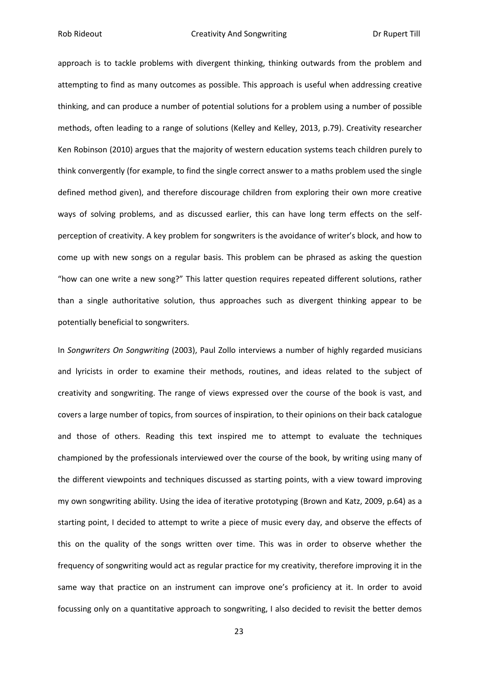approach is to tackle problems with divergent thinking, thinking outwards from the problem and attempting to find as many outcomes as possible. This approach is useful when addressing creative thinking, and can produce a number of potential solutions for a problem using a number of possible methods, often leading to a range of solutions (Kelley and Kelley, 2013, p.79). Creativity researcher Ken Robinson (2010) argues that the majority of western education systems teach children purely to think convergently (for example, to find the single correct answer to a maths problem used the single defined method given), and therefore discourage children from exploring their own more creative ways of solving problems, and as discussed earlier, this can have long term effects on the selfperception of creativity. A key problem for songwriters is the avoidance of writer's block, and how to come up with new songs on a regular basis. This problem can be phrased as asking the question "how can one write a new song?" This latter question requires repeated different solutions, rather than a single authoritative solution, thus approaches such as divergent thinking appear to be potentially beneficial to songwriters.

In *Songwriters On Songwriting* (2003), Paul Zollo interviews a number of highly regarded musicians and lyricists in order to examine their methods, routines, and ideas related to the subject of creativity and songwriting. The range of views expressed over the course of the book is vast, and covers a large number of topics, from sources of inspiration, to their opinions on their back catalogue and those of others. Reading this text inspired me to attempt to evaluate the techniques championed by the professionals interviewed over the course of the book, by writing using many of the different viewpoints and techniques discussed as starting points, with a view toward improving my own songwriting ability. Using the idea of iterative prototyping (Brown and Katz, 2009, p.64) as a starting point, I decided to attempt to write a piece of music every day, and observe the effects of this on the quality of the songs written over time. This was in order to observe whether the frequency of songwriting would act as regular practice for my creativity, therefore improving it in the same way that practice on an instrument can improve one's proficiency at it. In order to avoid focussing only on a quantitative approach to songwriting, I also decided to revisit the better demos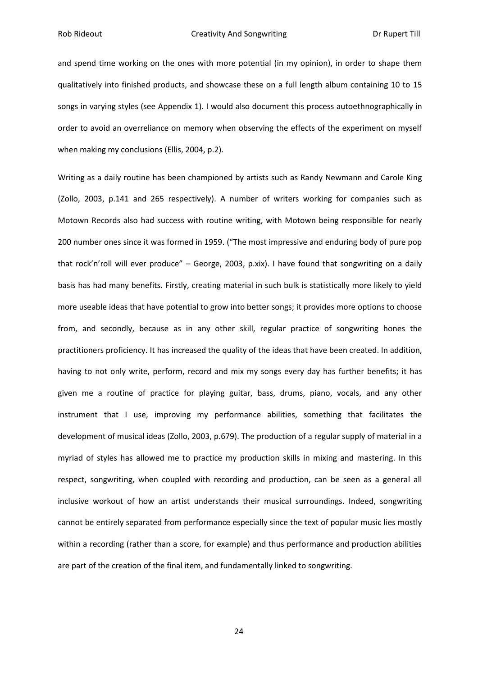and spend time working on the ones with more potential (in my opinion), in order to shape them qualitatively into finished products, and showcase these on a full length album containing 10 to 15 songs in varying styles (see Appendix 1). I would also document this process autoethnographically in order to avoid an overreliance on memory when observing the effects of the experiment on myself when making my conclusions (Ellis, 2004, p.2).

Writing as a daily routine has been championed by artists such as Randy Newmann and Carole King (Zollo, 2003, p.141 and 265 respectively). A number of writers working for companies such as Motown Records also had success with routine writing, with Motown being responsible for nearly 200 number ones since it was formed in 1959. ("The most impressive and enduring body of pure pop that rock'n'roll will ever produce" – George, 2003, p.xix). I have found that songwriting on a daily basis has had many benefits. Firstly, creating material in such bulk is statistically more likely to yield more useable ideas that have potential to grow into better songs; it provides more options to choose from, and secondly, because as in any other skill, regular practice of songwriting hones the practitioners proficiency. It has increased the quality of the ideas that have been created. In addition, having to not only write, perform, record and mix my songs every day has further benefits; it has given me a routine of practice for playing guitar, bass, drums, piano, vocals, and any other instrument that I use, improving my performance abilities, something that facilitates the development of musical ideas (Zollo, 2003, p.679). The production of a regular supply of material in a myriad of styles has allowed me to practice my production skills in mixing and mastering. In this respect, songwriting, when coupled with recording and production, can be seen as a general all inclusive workout of how an artist understands their musical surroundings. Indeed, songwriting cannot be entirely separated from performance especially since the text of popular music lies mostly within a recording (rather than a score, for example) and thus performance and production abilities are part of the creation of the final item, and fundamentally linked to songwriting.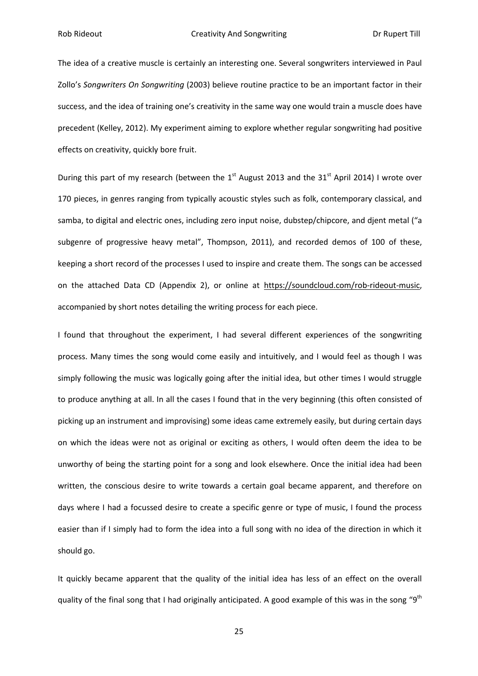The idea of a creative muscle is certainly an interesting one. Several songwriters interviewed in Paul Zollo's *Songwriters On Songwriting* (2003) believe routine practice to be an important factor in their success, and the idea of training one's creativity in the same way one would train a muscle does have precedent (Kelley, 2012). My experiment aiming to explore whether regular songwriting had positive effects on creativity, quickly bore fruit.

During this part of my research (between the  $1<sup>st</sup>$  August 2013 and the 31 $<sup>st</sup>$  April 2014) I wrote over</sup> 170 pieces, in genres ranging from typically acoustic styles such as folk, contemporary classical, and samba, to digital and electric ones, including zero input noise, dubstep/chipcore, and djent metal ("a subgenre of progressive heavy metal", Thompson, 2011), and recorded demos of 100 of these, keeping a short record of the processes I used to inspire and create them. The songs can be accessed on the attached Data CD (Appendix 2), or online at [https://soundcloud.com/rob-rideout-music,](https://soundcloud.com/rob-rideout-music) accompanied by short notes detailing the writing process for each piece.

I found that throughout the experiment, I had several different experiences of the songwriting process. Many times the song would come easily and intuitively, and I would feel as though I was simply following the music was logically going after the initial idea, but other times I would struggle to produce anything at all. In all the cases I found that in the very beginning (this often consisted of picking up an instrument and improvising) some ideas came extremely easily, but during certain days on which the ideas were not as original or exciting as others, I would often deem the idea to be unworthy of being the starting point for a song and look elsewhere. Once the initial idea had been written, the conscious desire to write towards a certain goal became apparent, and therefore on days where I had a focussed desire to create a specific genre or type of music, I found the process easier than if I simply had to form the idea into a full song with no idea of the direction in which it should go.

It quickly became apparent that the quality of the initial idea has less of an effect on the overall quality of the final song that I had originally anticipated. A good example of this was in the song "9<sup>th</sup>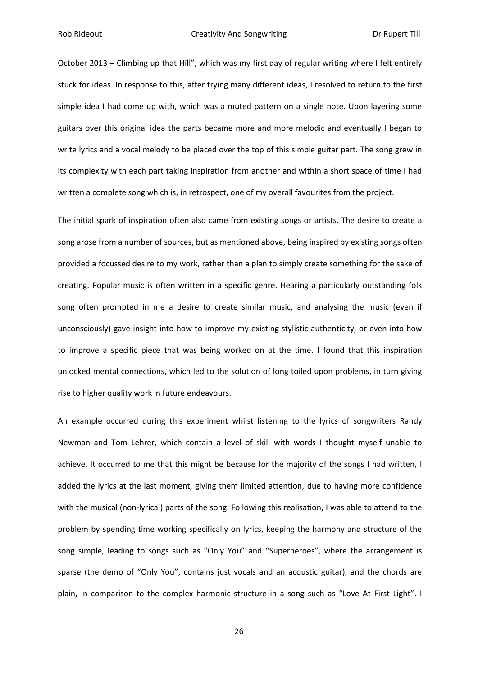October 2013 – Climbing up that Hill", which was my first day of regular writing where I felt entirely stuck for ideas. In response to this, after trying many different ideas, I resolved to return to the first simple idea I had come up with, which was a muted pattern on a single note. Upon layering some guitars over this original idea the parts became more and more melodic and eventually I began to write lyrics and a vocal melody to be placed over the top of this simple guitar part. The song grew in its complexity with each part taking inspiration from another and within a short space of time I had written a complete song which is, in retrospect, one of my overall favourites from the project.

The initial spark of inspiration often also came from existing songs or artists. The desire to create a song arose from a number of sources, but as mentioned above, being inspired by existing songs often provided a focussed desire to my work, rather than a plan to simply create something for the sake of creating. Popular music is often written in a specific genre. Hearing a particularly outstanding folk song often prompted in me a desire to create similar music, and analysing the music (even if unconsciously) gave insight into how to improve my existing stylistic authenticity, or even into how to improve a specific piece that was being worked on at the time. I found that this inspiration unlocked mental connections, which led to the solution of long toiled upon problems, in turn giving rise to higher quality work in future endeavours.

An example occurred during this experiment whilst listening to the lyrics of songwriters Randy Newman and Tom Lehrer, which contain a level of skill with words I thought myself unable to achieve. It occurred to me that this might be because for the majority of the songs I had written, I added the lyrics at the last moment, giving them limited attention, due to having more confidence with the musical (non-lyrical) parts of the song. Following this realisation, I was able to attend to the problem by spending time working specifically on lyrics, keeping the harmony and structure of the song simple, leading to songs such as "Only You" and "Superheroes", where the arrangement is sparse (the demo of "Only You", contains just vocals and an acoustic guitar), and the chords are plain, in comparison to the complex harmonic structure in a song such as "Love At First Light". I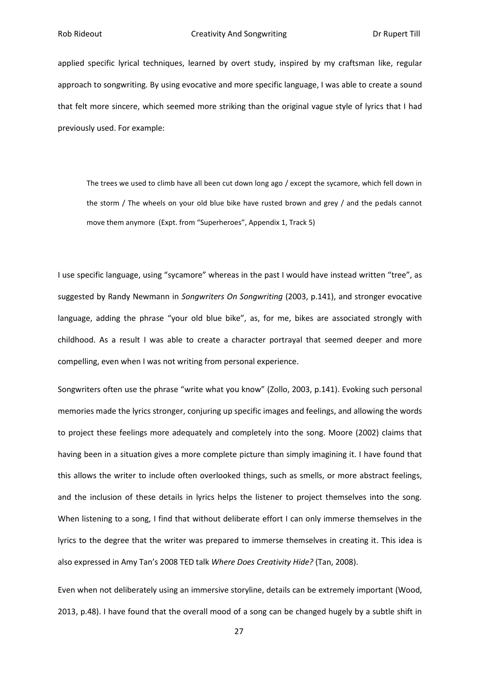applied specific lyrical techniques, learned by overt study, inspired by my craftsman like, regular approach to songwriting. By using evocative and more specific language, I was able to create a sound that felt more sincere, which seemed more striking than the original vague style of lyrics that I had previously used. For example:

The trees we used to climb have all been cut down long ago / except the sycamore, which fell down in the storm / The wheels on your old blue bike have rusted brown and grey / and the pedals cannot move them anymore (Expt. from "Superheroes", Appendix 1, Track 5)

I use specific language, using "sycamore" whereas in the past I would have instead written "tree", as suggested by Randy Newmann in *Songwriters On Songwriting* (2003, p.141), and stronger evocative language, adding the phrase "your old blue bike", as, for me, bikes are associated strongly with childhood. As a result I was able to create a character portrayal that seemed deeper and more compelling, even when I was not writing from personal experience.

Songwriters often use the phrase "write what you know" (Zollo, 2003, p.141). Evoking such personal memories made the lyrics stronger, conjuring up specific images and feelings, and allowing the words to project these feelings more adequately and completely into the song. Moore (2002) claims that having been in a situation gives a more complete picture than simply imagining it. I have found that this allows the writer to include often overlooked things, such as smells, or more abstract feelings, and the inclusion of these details in lyrics helps the listener to project themselves into the song. When listening to a song, I find that without deliberate effort I can only immerse themselves in the lyrics to the degree that the writer was prepared to immerse themselves in creating it. This idea is also expressed in Amy Tan's 2008 TED talk *Where Does Creativity Hide?* (Tan, 2008).

Even when not deliberately using an immersive storyline, details can be extremely important (Wood, 2013, p.48). I have found that the overall mood of a song can be changed hugely by a subtle shift in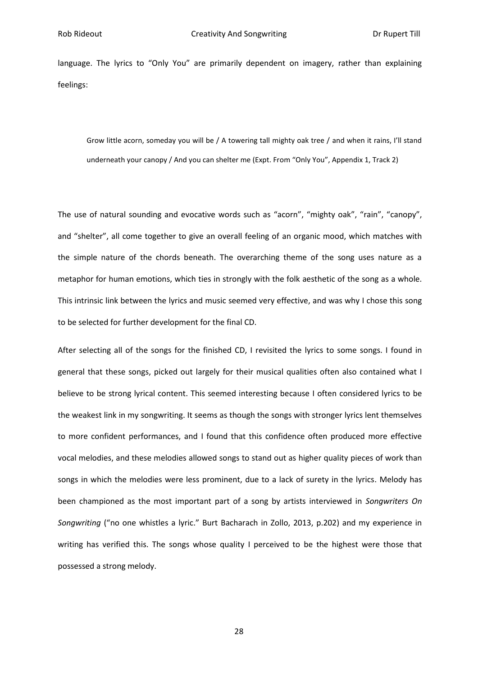language. The lyrics to "Only You" are primarily dependent on imagery, rather than explaining feelings:

Grow little acorn, someday you will be / A towering tall mighty oak tree / and when it rains, I'll stand underneath your canopy / And you can shelter me (Expt. From "Only You", Appendix 1, Track 2)

The use of natural sounding and evocative words such as "acorn", "mighty oak", "rain", "canopy", and "shelter", all come together to give an overall feeling of an organic mood, which matches with the simple nature of the chords beneath. The overarching theme of the song uses nature as a metaphor for human emotions, which ties in strongly with the folk aesthetic of the song as a whole. This intrinsic link between the lyrics and music seemed very effective, and was why I chose this song to be selected for further development for the final CD.

After selecting all of the songs for the finished CD, I revisited the lyrics to some songs. I found in general that these songs, picked out largely for their musical qualities often also contained what I believe to be strong lyrical content. This seemed interesting because I often considered lyrics to be the weakest link in my songwriting. It seems as though the songs with stronger lyrics lent themselves to more confident performances, and I found that this confidence often produced more effective vocal melodies, and these melodies allowed songs to stand out as higher quality pieces of work than songs in which the melodies were less prominent, due to a lack of surety in the lyrics. Melody has been championed as the most important part of a song by artists interviewed in *Songwriters On Songwriting* ("no one whistles a lyric." Burt Bacharach in Zollo, 2013, p.202) and my experience in writing has verified this. The songs whose quality I perceived to be the highest were those that possessed a strong melody.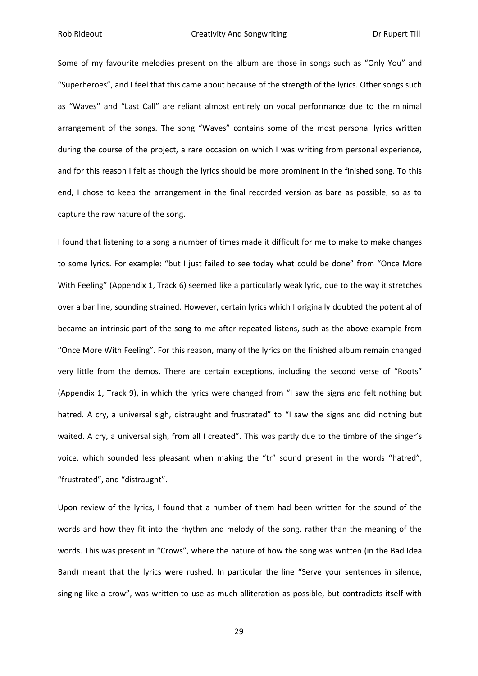Some of my favourite melodies present on the album are those in songs such as "Only You" and "Superheroes", and I feel that this came about because of the strength of the lyrics. Other songs such as "Waves" and "Last Call" are reliant almost entirely on vocal performance due to the minimal arrangement of the songs. The song "Waves" contains some of the most personal lyrics written during the course of the project, a rare occasion on which I was writing from personal experience, and for this reason I felt as though the lyrics should be more prominent in the finished song. To this end, I chose to keep the arrangement in the final recorded version as bare as possible, so as to capture the raw nature of the song.

I found that listening to a song a number of times made it difficult for me to make to make changes to some lyrics. For example: "but I just failed to see today what could be done" from "Once More With Feeling" (Appendix 1, Track 6) seemed like a particularly weak lyric, due to the way it stretches over a bar line, sounding strained. However, certain lyrics which I originally doubted the potential of became an intrinsic part of the song to me after repeated listens, such as the above example from "Once More With Feeling". For this reason, many of the lyrics on the finished album remain changed very little from the demos. There are certain exceptions, including the second verse of "Roots" (Appendix 1, Track 9), in which the lyrics were changed from "I saw the signs and felt nothing but hatred. A cry, a universal sigh, distraught and frustrated" to "I saw the signs and did nothing but waited. A cry, a universal sigh, from all I created". This was partly due to the timbre of the singer's voice, which sounded less pleasant when making the "tr" sound present in the words "hatred", "frustrated", and "distraught".

Upon review of the lyrics, I found that a number of them had been written for the sound of the words and how they fit into the rhythm and melody of the song, rather than the meaning of the words. This was present in "Crows", where the nature of how the song was written (in the Bad Idea Band) meant that the lyrics were rushed. In particular the line "Serve your sentences in silence, singing like a crow", was written to use as much alliteration as possible, but contradicts itself with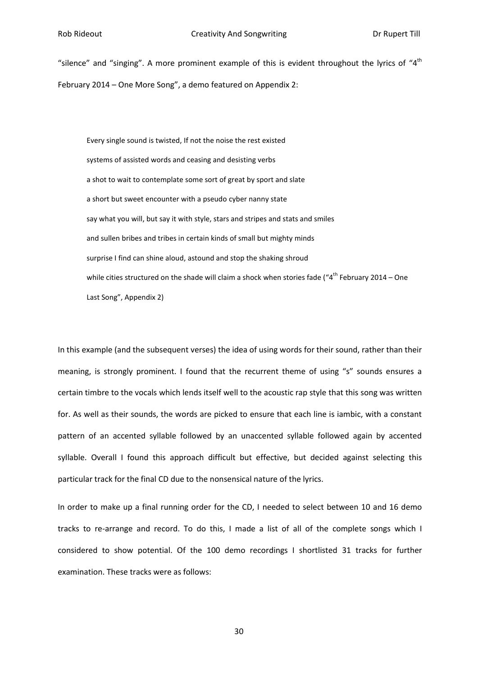"silence" and "singing". A more prominent example of this is evident throughout the lyrics of " $4<sup>th</sup>$ February 2014 – One More Song", a demo featured on Appendix 2:

Every single sound is twisted, If not the noise the rest existed systems of assisted words and ceasing and desisting verbs a shot to wait to contemplate some sort of great by sport and slate a short but sweet encounter with a pseudo cyber nanny state say what you will, but say it with style, stars and stripes and stats and smiles and sullen bribes and tribes in certain kinds of small but mighty minds surprise I find can shine aloud, astound and stop the shaking shroud while cities structured on the shade will claim a shock when stories fade ("4<sup>th</sup> February 2014 – One Last Song", Appendix 2)

In this example (and the subsequent verses) the idea of using words for their sound, rather than their meaning, is strongly prominent. I found that the recurrent theme of using "s" sounds ensures a certain timbre to the vocals which lends itself well to the acoustic rap style that this song was written for. As well as their sounds, the words are picked to ensure that each line is iambic, with a constant pattern of an accented syllable followed by an unaccented syllable followed again by accented syllable. Overall I found this approach difficult but effective, but decided against selecting this particular track for the final CD due to the nonsensical nature of the lyrics.

In order to make up a final running order for the CD, I needed to select between 10 and 16 demo tracks to re-arrange and record. To do this, I made a list of all of the complete songs which I considered to show potential. Of the 100 demo recordings I shortlisted 31 tracks for further examination. These tracks were as follows: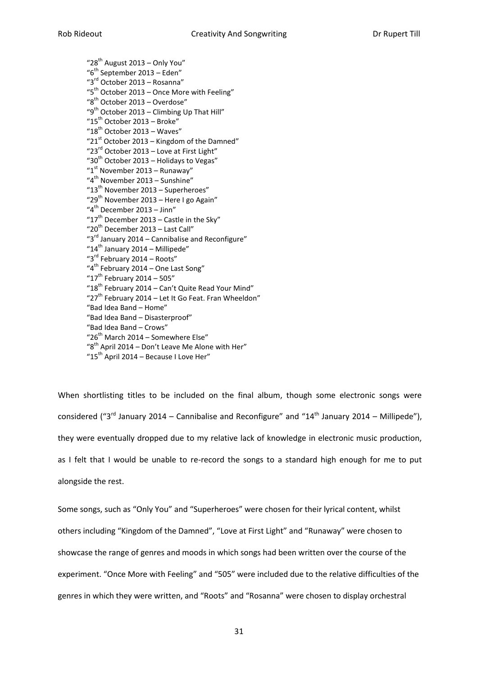" $28<sup>th</sup>$  August 2013 – Only You" "6<sup>th</sup> September 2013 - Eden" "3<sup>rd</sup> October 2013 - Rosanna" "5<sup>th</sup> October 2013 - Once More with Feeling" "8<sup>th</sup> October 2013 - Overdose" "9<sup>th</sup> October 2013 – Climbing Up That Hill" " $15^{th}$  October 2013 – Broke" " $18^{th}$  October 2013 – Waves" " $21<sup>st</sup>$  October 2013 – Kingdom of the Damned" " $23^{\text{rd}}$  October 2013 – Love at First Light" "30<sup>th</sup> October 2013 – Holidays to Vegas" " $1<sup>st</sup>$  November 2013 – Runaway" "4<sup>th</sup> November 2013 – Sunshine" " $13<sup>th</sup>$  November 2013 – Superheroes" "29<sup>th</sup> November 2013 – Here I go Again" "4<sup>th</sup> December 2013 - Jinn" " $17<sup>th</sup>$  December 2013 – Castle in the Sky" " $20^{th}$  December 2013 – Last Call" "3<sup>rd</sup> January 2014 - Cannibalise and Reconfigure" " $14<sup>th</sup>$  January 2014 – Millipede" "3<sup>rd</sup> February 2014 - Roots" "4<sup>th</sup> February 2014 - One Last Song" " $17^{th}$  February 2014 – 505" " $18^{th}$  February 2014 – Can't Quite Read Your Mind" "27<sup>th</sup> February 2014 – Let It Go Feat. Fran Wheeldon" "Bad Idea Band – Home" "Bad Idea Band – Disasterproof" "Bad Idea Band – Crows" "26<sup>th</sup> March 2014 – Somewhere Else" " $8<sup>th</sup>$  April 2014 – Don't Leave Me Alone with Her" " $15^{th}$  April 2014 – Because I Love Her"

When shortlisting titles to be included on the final album, though some electronic songs were considered ("3<sup>rd</sup> January 2014 – Cannibalise and Reconfigure" and "14<sup>th</sup> January 2014 – Millipede"), they were eventually dropped due to my relative lack of knowledge in electronic music production, as I felt that I would be unable to re-record the songs to a standard high enough for me to put alongside the rest.

Some songs, such as "Only You" and "Superheroes" were chosen for their lyrical content, whilst others including "Kingdom of the Damned", "Love at First Light" and "Runaway" were chosen to showcase the range of genres and moods in which songs had been written over the course of the experiment. "Once More with Feeling" and "505" were included due to the relative difficulties of the genres in which they were written, and "Roots" and "Rosanna" were chosen to display orchestral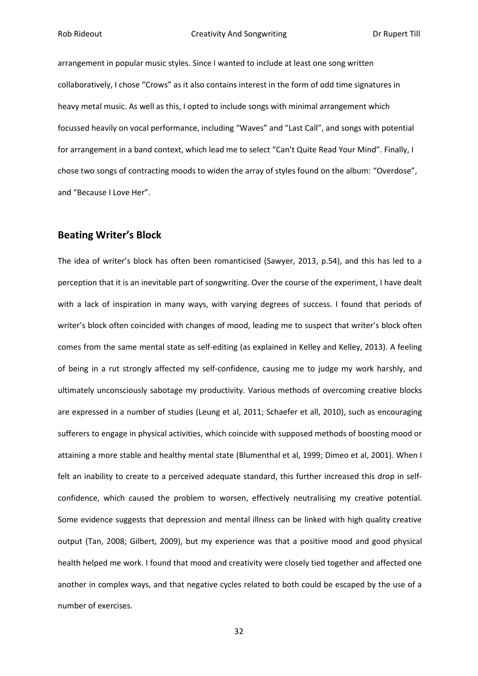arrangement in popular music styles. Since I wanted to include at least one song written collaboratively, I chose "Crows" as it also contains interest in the form of odd time signatures in heavy metal music. As well as this, I opted to include songs with minimal arrangement which focussed heavily on vocal performance, including "Waves" and "Last Call", and songs with potential for arrangement in a band context, which lead me to select "Can't Quite Read Your Mind". Finally, I chose two songs of contracting moods to widen the array of styles found on the album: "Overdose", and "Because I Love Her".

#### <span id="page-33-0"></span>**Beating Writer's Block**

The idea of writer's block has often been romanticised (Sawyer, 2013, p.54), and this has led to a perception that it is an inevitable part of songwriting. Over the course of the experiment, I have dealt with a lack of inspiration in many ways, with varying degrees of success. I found that periods of writer's block often coincided with changes of mood, leading me to suspect that writer's block often comes from the same mental state as self-editing (as explained in Kelley and Kelley, 2013). A feeling of being in a rut strongly affected my self-confidence, causing me to judge my work harshly, and ultimately unconsciously sabotage my productivity. Various methods of overcoming creative blocks are expressed in a number of studies (Leung et al, 2011; Schaefer et all, 2010), such as encouraging sufferers to engage in physical activities, which coincide with supposed methods of boosting mood or attaining a more stable and healthy mental state (Blumenthal et al, 1999; Dimeo et al, 2001). When I felt an inability to create to a perceived adequate standard, this further increased this drop in selfconfidence, which caused the problem to worsen, effectively neutralising my creative potential. Some evidence suggests that depression and mental illness can be linked with high quality creative output (Tan, 2008; Gilbert, 2009), but my experience was that a positive mood and good physical health helped me work. I found that mood and creativity were closely tied together and affected one another in complex ways, and that negative cycles related to both could be escaped by the use of a number of exercises.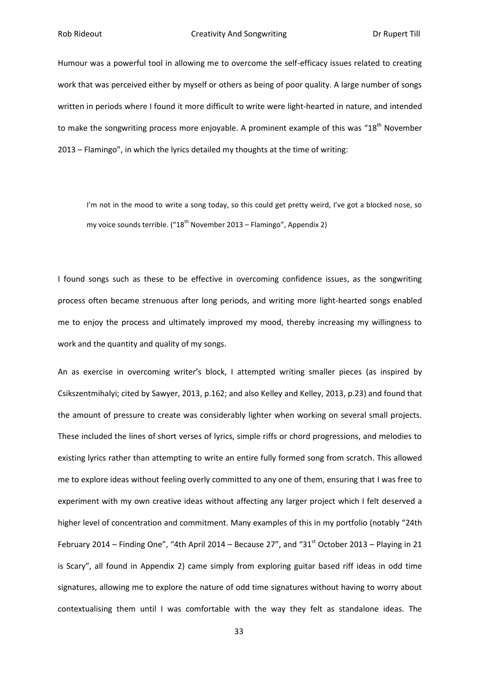Humour was a powerful tool in allowing me to overcome the self-efficacy issues related to creating work that was perceived either by myself or others as being of poor quality. A large number of songs written in periods where I found it more difficult to write were light-hearted in nature, and intended to make the songwriting process more enjoyable. A prominent example of this was "18<sup>th</sup> November 2013 – Flamingo", in which the lyrics detailed my thoughts at the time of writing:

I'm not in the mood to write a song today, so this could get pretty weird, I've got a blocked nose, so my voice sounds terrible. (" $18^{th}$  November 2013 – Flamingo", Appendix 2)

I found songs such as these to be effective in overcoming confidence issues, as the songwriting process often became strenuous after long periods, and writing more light-hearted songs enabled me to enjoy the process and ultimately improved my mood, thereby increasing my willingness to work and the quantity and quality of my songs.

An as exercise in overcoming writer's block, I attempted writing smaller pieces (as inspired by Csikszentmihalyi; cited by Sawyer, 2013, p.162; and also Kelley and Kelley, 2013, p.23) and found that the amount of pressure to create was considerably lighter when working on several small projects. These included the lines of short verses of lyrics, simple riffs or chord progressions, and melodies to existing lyrics rather than attempting to write an entire fully formed song from scratch. This allowed me to explore ideas without feeling overly committed to any one of them, ensuring that I was free to experiment with my own creative ideas without affecting any larger project which I felt deserved a higher level of concentration and commitment. Many examples of this in my portfolio (notably "24th February 2014 – Finding One", "4th April 2014 – Because 27", and "31 $^{\rm st}$  October 2013 – Playing in 21 is Scary", all found in Appendix 2) came simply from exploring guitar based riff ideas in odd time signatures, allowing me to explore the nature of odd time signatures without having to worry about contextualising them until I was comfortable with the way they felt as standalone ideas. The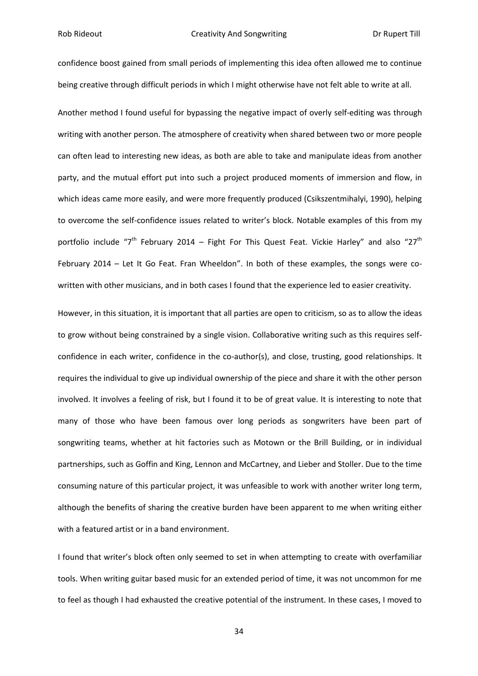confidence boost gained from small periods of implementing this idea often allowed me to continue being creative through difficult periods in which I might otherwise have not felt able to write at all.

Another method I found useful for bypassing the negative impact of overly self-editing was through writing with another person. The atmosphere of creativity when shared between two or more people can often lead to interesting new ideas, as both are able to take and manipulate ideas from another party, and the mutual effort put into such a project produced moments of immersion and flow, in which ideas came more easily, and were more frequently produced (Csikszentmihalyi, 1990), helping to overcome the self-confidence issues related to writer's block. Notable examples of this from my portfolio include "7<sup>th</sup> February 2014 – Fight For This Quest Feat. Vickie Harley" and also "27<sup>th</sup> February 2014 – Let It Go Feat. Fran Wheeldon". In both of these examples, the songs were cowritten with other musicians, and in both cases I found that the experience led to easier creativity.

However, in this situation, it is important that all parties are open to criticism, so as to allow the ideas to grow without being constrained by a single vision. Collaborative writing such as this requires selfconfidence in each writer, confidence in the co-author(s), and close, trusting, good relationships. It requires the individual to give up individual ownership of the piece and share it with the other person involved. It involves a feeling of risk, but I found it to be of great value. It is interesting to note that many of those who have been famous over long periods as songwriters have been part of songwriting teams, whether at hit factories such as Motown or the Brill Building, or in individual partnerships, such as Goffin and King, Lennon and McCartney, and Lieber and Stoller. Due to the time consuming nature of this particular project, it was unfeasible to work with another writer long term, although the benefits of sharing the creative burden have been apparent to me when writing either with a featured artist or in a band environment.

I found that writer's block often only seemed to set in when attempting to create with overfamiliar tools. When writing guitar based music for an extended period of time, it was not uncommon for me to feel as though I had exhausted the creative potential of the instrument. In these cases, I moved to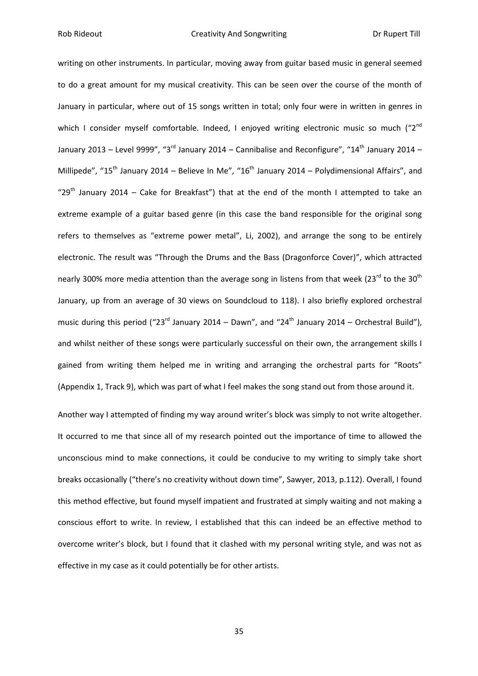writing on other instruments. In particular, moving away from guitar based music in general seemed to do a great amount for my musical creativity. This can be seen over the course of the month of January in particular, where out of 15 songs written in total; only four were in written in genres in which I consider myself comfortable. Indeed, I enjoyed writing electronic music so much ("2<sup>nd</sup> January 2013 – Level 9999", "3<sup>rd</sup> January 2014 – Cannibalise and Reconfigure", "14<sup>th</sup> January 2014 – Millipede", "15<sup>th</sup> January 2014 – Believe In Me", "16<sup>th</sup> January 2014 – Polydimensional Affairs", and "29<sup>th</sup> January 2014 – Cake for Breakfast") that at the end of the month I attempted to take an extreme example of a guitar based genre (in this case the band responsible for the original song refers to themselves as "extreme power metal", Li, 2002), and arrange the song to be entirely electronic. The result was "Through the Drums and the Bass (Dragonforce Cover)", which attracted nearly 300% more media attention than the average song in listens from that week (23 $^{\text{rd}}$  to the 30<sup>th</sup> January, up from an average of 30 views on Soundcloud to 118). I also briefly explored orchestral music during this period ("23<sup>rd</sup> January 2014 – Dawn", and "24<sup>th</sup> January 2014 – Orchestral Build"), and whilst neither of these songs were particularly successful on their own, the arrangement skills I gained from writing them helped me in writing and arranging the orchestral parts for "Roots" (Appendix 1, Track 9), which was part of what I feel makes the song stand out from those around it.

Another way I attempted of finding my way around writer's block was simply to not write altogether. It occurred to me that since all of my research pointed out the importance of time to allowed the unconscious mind to make connections, it could be conducive to my writing to simply take short breaks occasionally ("there's no creativity without down time", Sawyer, 2013, p.112). Overall, I found this method effective, but found myself impatient and frustrated at simply waiting and not making a conscious effort to write. In review, I established that this can indeed be an effective method to overcome writer's block, but I found that it clashed with my personal writing style, and was not as effective in my case as it could potentially be for other artists.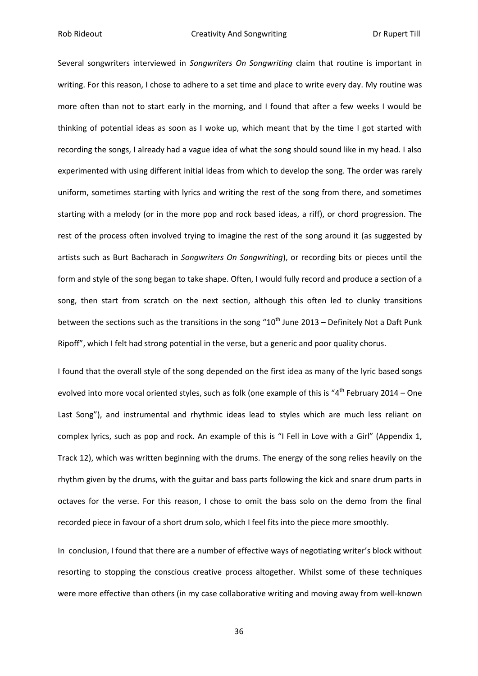Several songwriters interviewed in *Songwriters On Songwriting* claim that routine is important in writing. For this reason, I chose to adhere to a set time and place to write every day. My routine was more often than not to start early in the morning, and I found that after a few weeks I would be thinking of potential ideas as soon as I woke up, which meant that by the time I got started with recording the songs, I already had a vague idea of what the song should sound like in my head. I also experimented with using different initial ideas from which to develop the song. The order was rarely uniform, sometimes starting with lyrics and writing the rest of the song from there, and sometimes starting with a melody (or in the more pop and rock based ideas, a riff), or chord progression. The rest of the process often involved trying to imagine the rest of the song around it (as suggested by artists such as Burt Bacharach in *Songwriters On Songwriting*), or recording bits or pieces until the form and style of the song began to take shape. Often, I would fully record and produce a section of a song, then start from scratch on the next section, although this often led to clunky transitions between the sections such as the transitions in the song " $10<sup>th</sup>$  June 2013 – Definitely Not a Daft Punk Ripoff", which I felt had strong potential in the verse, but a generic and poor quality chorus.

I found that the overall style of the song depended on the first idea as many of the lyric based songs evolved into more vocal oriented styles, such as folk (one example of this is "4<sup>th</sup> February 2014 – One Last Song"), and instrumental and rhythmic ideas lead to styles which are much less reliant on complex lyrics, such as pop and rock. An example of this is "I Fell in Love with a Girl" (Appendix 1, Track 12), which was written beginning with the drums. The energy of the song relies heavily on the rhythm given by the drums, with the guitar and bass parts following the kick and snare drum parts in octaves for the verse. For this reason, I chose to omit the bass solo on the demo from the final recorded piece in favour of a short drum solo, which I feel fits into the piece more smoothly.

In conclusion, I found that there are a number of effective ways of negotiating writer's block without resorting to stopping the conscious creative process altogether. Whilst some of these techniques were more effective than others (in my case collaborative writing and moving away from well-known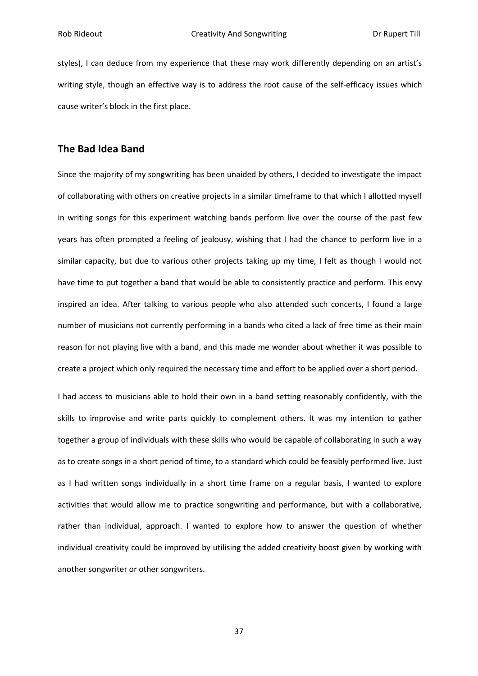styles), I can deduce from my experience that these may work differently depending on an artist's writing style, though an effective way is to address the root cause of the self-efficacy issues which cause writer's block in the first place.

#### <span id="page-38-0"></span>**The Bad Idea Band**

Since the majority of my songwriting has been unaided by others, I decided to investigate the impact of collaborating with others on creative projects in a similar timeframe to that which I allotted myself in writing songs for this experiment watching bands perform live over the course of the past few years has often prompted a feeling of jealousy, wishing that I had the chance to perform live in a similar capacity, but due to various other projects taking up my time, I felt as though I would not have time to put together a band that would be able to consistently practice and perform. This envy inspired an idea. After talking to various people who also attended such concerts, I found a large number of musicians not currently performing in a bands who cited a lack of free time as their main reason for not playing live with a band, and this made me wonder about whether it was possible to create a project which only required the necessary time and effort to be applied over a short period.

I had access to musicians able to hold their own in a band setting reasonably confidently, with the skills to improvise and write parts quickly to complement others. It was my intention to gather together a group of individuals with these skills who would be capable of collaborating in such a way as to create songs in a short period of time, to a standard which could be feasibly performed live. Just as I had written songs individually in a short time frame on a regular basis, I wanted to explore activities that would allow me to practice songwriting and performance, but with a collaborative, rather than individual, approach. I wanted to explore how to answer the question of whether individual creativity could be improved by utilising the added creativity boost given by working with another songwriter or other songwriters.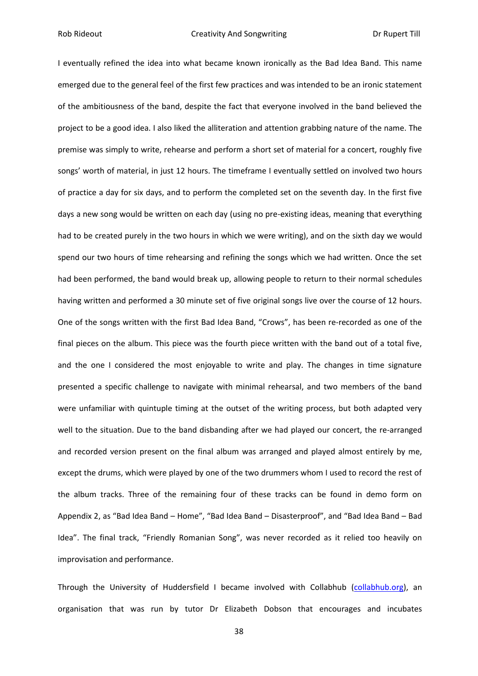I eventually refined the idea into what became known ironically as the Bad Idea Band. This name emerged due to the general feel of the first few practices and was intended to be an ironic statement of the ambitiousness of the band, despite the fact that everyone involved in the band believed the project to be a good idea. I also liked the alliteration and attention grabbing nature of the name. The premise was simply to write, rehearse and perform a short set of material for a concert, roughly five songs' worth of material, in just 12 hours. The timeframe I eventually settled on involved two hours of practice a day for six days, and to perform the completed set on the seventh day. In the first five days a new song would be written on each day (using no pre-existing ideas, meaning that everything had to be created purely in the two hours in which we were writing), and on the sixth day we would spend our two hours of time rehearsing and refining the songs which we had written. Once the set had been performed, the band would break up, allowing people to return to their normal schedules having written and performed a 30 minute set of five original songs live over the course of 12 hours. One of the songs written with the first Bad Idea Band, "Crows", has been re-recorded as one of the final pieces on the album. This piece was the fourth piece written with the band out of a total five, and the one I considered the most enjoyable to write and play. The changes in time signature presented a specific challenge to navigate with minimal rehearsal, and two members of the band were unfamiliar with quintuple timing at the outset of the writing process, but both adapted very well to the situation. Due to the band disbanding after we had played our concert, the re-arranged and recorded version present on the final album was arranged and played almost entirely by me, except the drums, which were played by one of the two drummers whom I used to record the rest of the album tracks. Three of the remaining four of these tracks can be found in demo form on Appendix 2, as "Bad Idea Band – Home", "Bad Idea Band – Disasterproof", and "Bad Idea Band – Bad Idea". The final track, "Friendly Romanian Song", was never recorded as it relied too heavily on improvisation and performance.

Through the University of Huddersfield I became involved with Collabhub [\(collabhub.org\)](http://collabhub.org/), an organisation that was run by tutor Dr Elizabeth Dobson that encourages and incubates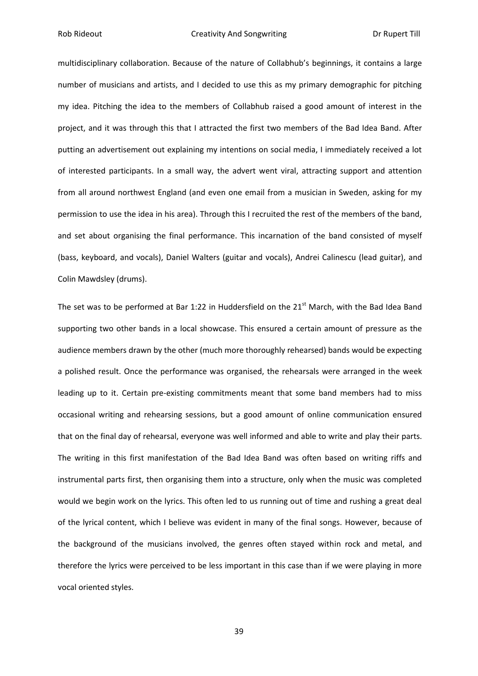multidisciplinary collaboration. Because of the nature of Collabhub's beginnings, it contains a large number of musicians and artists, and I decided to use this as my primary demographic for pitching my idea. Pitching the idea to the members of Collabhub raised a good amount of interest in the project, and it was through this that I attracted the first two members of the Bad Idea Band. After putting an advertisement out explaining my intentions on social media, I immediately received a lot of interested participants. In a small way, the advert went viral, attracting support and attention from all around northwest England (and even one email from a musician in Sweden, asking for my permission to use the idea in his area). Through this I recruited the rest of the members of the band, and set about organising the final performance. This incarnation of the band consisted of myself (bass, keyboard, and vocals), Daniel Walters (guitar and vocals), Andrei Calinescu (lead guitar), and Colin Mawdsley (drums).

The set was to be performed at Bar 1:22 in Huddersfield on the 21<sup>st</sup> March, with the Bad Idea Band supporting two other bands in a local showcase. This ensured a certain amount of pressure as the audience members drawn by the other (much more thoroughly rehearsed) bands would be expecting a polished result. Once the performance was organised, the rehearsals were arranged in the week leading up to it. Certain pre-existing commitments meant that some band members had to miss occasional writing and rehearsing sessions, but a good amount of online communication ensured that on the final day of rehearsal, everyone was well informed and able to write and play their parts. The writing in this first manifestation of the Bad Idea Band was often based on writing riffs and instrumental parts first, then organising them into a structure, only when the music was completed would we begin work on the lyrics. This often led to us running out of time and rushing a great deal of the lyrical content, which I believe was evident in many of the final songs. However, because of the background of the musicians involved, the genres often stayed within rock and metal, and therefore the lyrics were perceived to be less important in this case than if we were playing in more vocal oriented styles.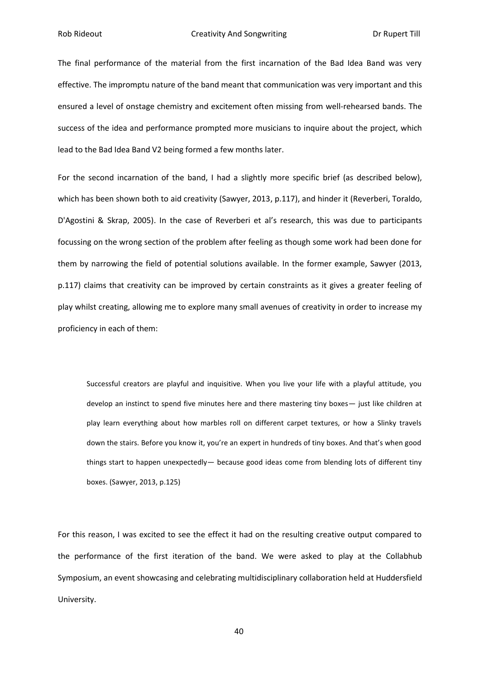The final performance of the material from the first incarnation of the Bad Idea Band was very effective. The impromptu nature of the band meant that communication was very important and this ensured a level of onstage chemistry and excitement often missing from well-rehearsed bands. The success of the idea and performance prompted more musicians to inquire about the project, which lead to the Bad Idea Band V2 being formed a few months later.

For the second incarnation of the band, I had a slightly more specific brief (as described below), which has been shown both to aid creativity (Sawyer, 2013, p.117), and hinder it (Reverberi, Toraldo, D'Agostini & Skrap, 2005). In the case of Reverberi et al's research, this was due to participants focussing on the wrong section of the problem after feeling as though some work had been done for them by narrowing the field of potential solutions available. In the former example, Sawyer (2013, p.117) claims that creativity can be improved by certain constraints as it gives a greater feeling of play whilst creating, allowing me to explore many small avenues of creativity in order to increase my proficiency in each of them:

Successful creators are playful and inquisitive. When you live your life with a playful attitude, you develop an instinct to spend five minutes here and there mastering tiny boxes— just like children at play learn everything about how marbles roll on different carpet textures, or how a Slinky travels down the stairs. Before you know it, you're an expert in hundreds of tiny boxes. And that's when good things start to happen unexpectedly— because good ideas come from blending lots of different tiny boxes. (Sawyer, 2013, p.125)

For this reason, I was excited to see the effect it had on the resulting creative output compared to the performance of the first iteration of the band. We were asked to play at the Collabhub Symposium, an event showcasing and celebrating multidisciplinary collaboration held at Huddersfield University.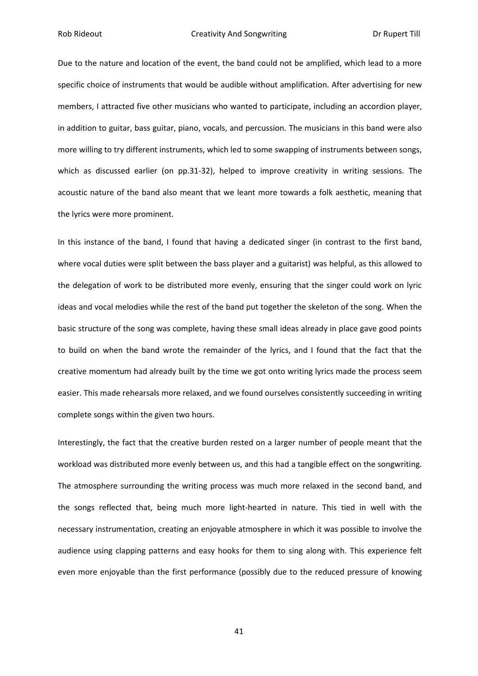Due to the nature and location of the event, the band could not be amplified, which lead to a more specific choice of instruments that would be audible without amplification. After advertising for new members, I attracted five other musicians who wanted to participate, including an accordion player, in addition to guitar, bass guitar, piano, vocals, and percussion. The musicians in this band were also more willing to try different instruments, which led to some swapping of instruments between songs, which as discussed earlier (on pp.31-32), helped to improve creativity in writing sessions. The acoustic nature of the band also meant that we leant more towards a folk aesthetic, meaning that the lyrics were more prominent.

In this instance of the band, I found that having a dedicated singer (in contrast to the first band, where vocal duties were split between the bass player and a guitarist) was helpful, as this allowed to the delegation of work to be distributed more evenly, ensuring that the singer could work on lyric ideas and vocal melodies while the rest of the band put together the skeleton of the song. When the basic structure of the song was complete, having these small ideas already in place gave good points to build on when the band wrote the remainder of the lyrics, and I found that the fact that the creative momentum had already built by the time we got onto writing lyrics made the process seem easier. This made rehearsals more relaxed, and we found ourselves consistently succeeding in writing complete songs within the given two hours.

Interestingly, the fact that the creative burden rested on a larger number of people meant that the workload was distributed more evenly between us, and this had a tangible effect on the songwriting. The atmosphere surrounding the writing process was much more relaxed in the second band, and the songs reflected that, being much more light-hearted in nature. This tied in well with the necessary instrumentation, creating an enjoyable atmosphere in which it was possible to involve the audience using clapping patterns and easy hooks for them to sing along with. This experience felt even more enjoyable than the first performance (possibly due to the reduced pressure of knowing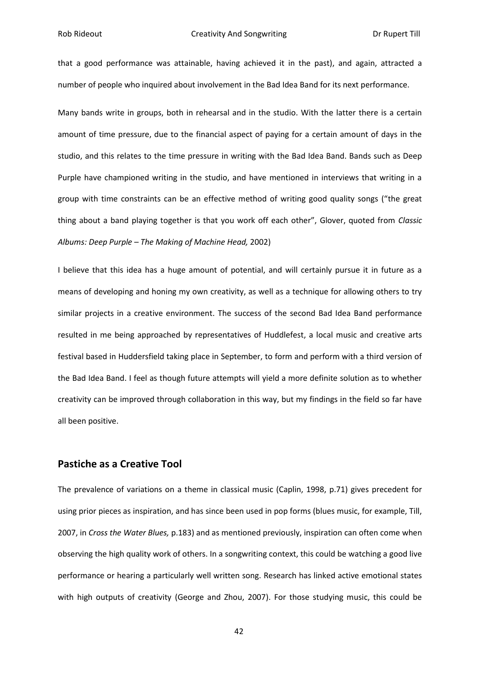that a good performance was attainable, having achieved it in the past), and again, attracted a number of people who inquired about involvement in the Bad Idea Band for its next performance.

Many bands write in groups, both in rehearsal and in the studio. With the latter there is a certain amount of time pressure, due to the financial aspect of paying for a certain amount of days in the studio, and this relates to the time pressure in writing with the Bad Idea Band. Bands such as Deep Purple have championed writing in the studio, and have mentioned in interviews that writing in a group with time constraints can be an effective method of writing good quality songs ("the great thing about a band playing together is that you work off each other", Glover, quoted from *Classic Albums: Deep Purple – The Making of Machine Head,* 2002)

I believe that this idea has a huge amount of potential, and will certainly pursue it in future as a means of developing and honing my own creativity, as well as a technique for allowing others to try similar projects in a creative environment. The success of the second Bad Idea Band performance resulted in me being approached by representatives of Huddlefest, a local music and creative arts festival based in Huddersfield taking place in September, to form and perform with a third version of the Bad Idea Band. I feel as though future attempts will yield a more definite solution as to whether creativity can be improved through collaboration in this way, but my findings in the field so far have all been positive.

#### <span id="page-43-0"></span>**Pastiche as a Creative Tool**

The prevalence of variations on a theme in classical music (Caplin, 1998, p.71) gives precedent for using prior pieces as inspiration, and has since been used in pop forms (blues music, for example, Till, 2007, in *Cross the Water Blues,* p.183) and as mentioned previously, inspiration can often come when observing the high quality work of others. In a songwriting context, this could be watching a good live performance or hearing a particularly well written song. Research has linked active emotional states with high outputs of creativity (George and Zhou, 2007). For those studying music, this could be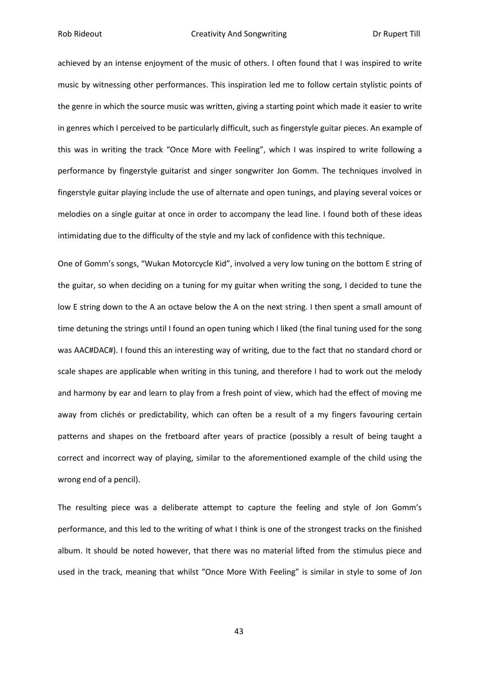achieved by an intense enjoyment of the music of others. I often found that I was inspired to write music by witnessing other performances. This inspiration led me to follow certain stylistic points of the genre in which the source music was written, giving a starting point which made it easier to write in genres which I perceived to be particularly difficult, such as fingerstyle guitar pieces. An example of this was in writing the track "Once More with Feeling", which I was inspired to write following a performance by fingerstyle guitarist and singer songwriter Jon Gomm. The techniques involved in fingerstyle guitar playing include the use of alternate and open tunings, and playing several voices or melodies on a single guitar at once in order to accompany the lead line. I found both of these ideas intimidating due to the difficulty of the style and my lack of confidence with this technique.

One of Gomm's songs, "Wukan Motorcycle Kid", involved a very low tuning on the bottom E string of the guitar, so when deciding on a tuning for my guitar when writing the song, I decided to tune the low E string down to the A an octave below the A on the next string. I then spent a small amount of time detuning the strings until I found an open tuning which I liked (the final tuning used for the song was AAC#DAC#). I found this an interesting way of writing, due to the fact that no standard chord or scale shapes are applicable when writing in this tuning, and therefore I had to work out the melody and harmony by ear and learn to play from a fresh point of view, which had the effect of moving me away from clichés or predictability, which can often be a result of a my fingers favouring certain patterns and shapes on the fretboard after years of practice (possibly a result of being taught a correct and incorrect way of playing, similar to the aforementioned example of the child using the wrong end of a pencil).

The resulting piece was a deliberate attempt to capture the feeling and style of Jon Gomm's performance, and this led to the writing of what I think is one of the strongest tracks on the finished album. It should be noted however, that there was no material lifted from the stimulus piece and used in the track, meaning that whilst "Once More With Feeling" is similar in style to some of Jon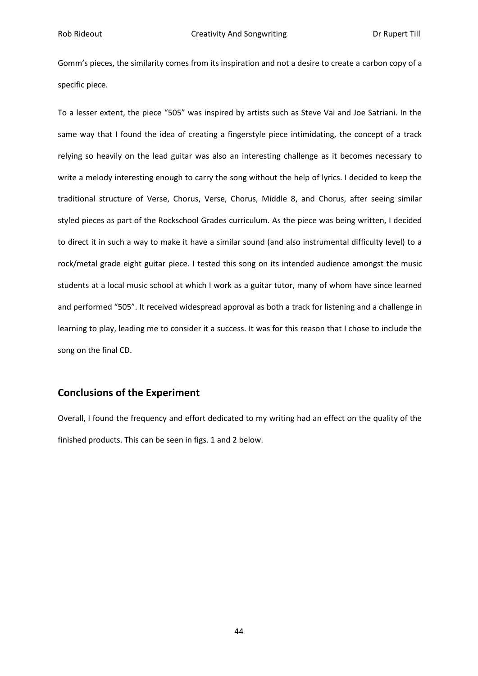Gomm's pieces, the similarity comes from its inspiration and not a desire to create a carbon copy of a specific piece.

To a lesser extent, the piece "505" was inspired by artists such as Steve Vai and Joe Satriani. In the same way that I found the idea of creating a fingerstyle piece intimidating, the concept of a track relying so heavily on the lead guitar was also an interesting challenge as it becomes necessary to write a melody interesting enough to carry the song without the help of lyrics. I decided to keep the traditional structure of Verse, Chorus, Verse, Chorus, Middle 8, and Chorus, after seeing similar styled pieces as part of the Rockschool Grades curriculum. As the piece was being written, I decided to direct it in such a way to make it have a similar sound (and also instrumental difficulty level) to a rock/metal grade eight guitar piece. I tested this song on its intended audience amongst the music students at a local music school at which I work as a guitar tutor, many of whom have since learned and performed "505". It received widespread approval as both a track for listening and a challenge in learning to play, leading me to consider it a success. It was for this reason that I chose to include the song on the final CD.

#### <span id="page-45-0"></span>**Conclusions of the Experiment**

Overall, I found the frequency and effort dedicated to my writing had an effect on the quality of the finished products. This can be seen in figs. 1 and 2 below.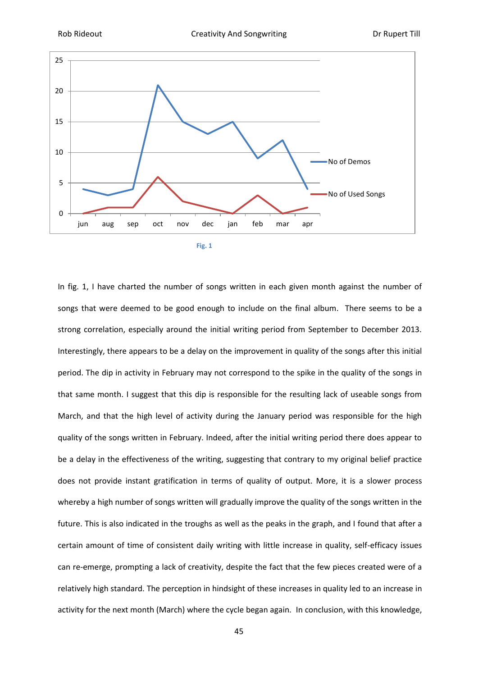

| . .<br>w |
|----------|
|----------|

In fig. 1, I have charted the number of songs written in each given month against the number of songs that were deemed to be good enough to include on the final album. There seems to be a strong correlation, especially around the initial writing period from September to December 2013. Interestingly, there appears to be a delay on the improvement in quality of the songs after this initial period. The dip in activity in February may not correspond to the spike in the quality of the songs in that same month. I suggest that this dip is responsible for the resulting lack of useable songs from March, and that the high level of activity during the January period was responsible for the high quality of the songs written in February. Indeed, after the initial writing period there does appear to be a delay in the effectiveness of the writing, suggesting that contrary to my original belief practice does not provide instant gratification in terms of quality of output. More, it is a slower process whereby a high number of songs written will gradually improve the quality of the songs written in the future. This is also indicated in the troughs as well as the peaks in the graph, and I found that after a certain amount of time of consistent daily writing with little increase in quality, self-efficacy issues can re-emerge, prompting a lack of creativity, despite the fact that the few pieces created were of a relatively high standard. The perception in hindsight of these increases in quality led to an increase in activity for the next month (March) where the cycle began again. In conclusion, with this knowledge,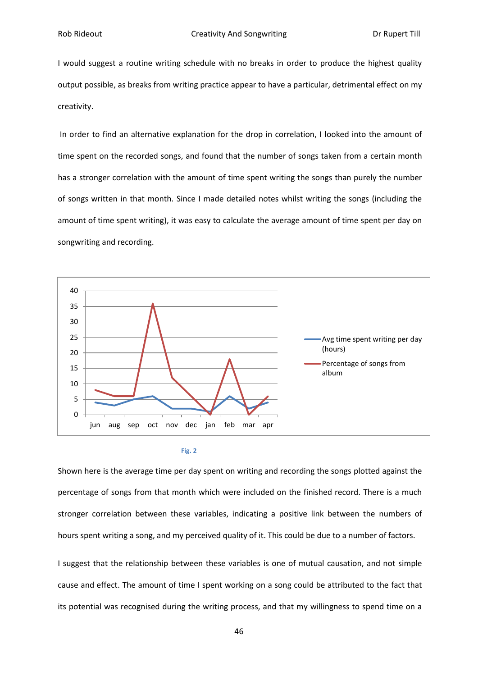I would suggest a routine writing schedule with no breaks in order to produce the highest quality output possible, as breaks from writing practice appear to have a particular, detrimental effect on my creativity.

In order to find an alternative explanation for the drop in correlation, I looked into the amount of time spent on the recorded songs, and found that the number of songs taken from a certain month has a stronger correlation with the amount of time spent writing the songs than purely the number of songs written in that month. Since I made detailed notes whilst writing the songs (including the amount of time spent writing), it was easy to calculate the average amount of time spent per day on songwriting and recording.



#### **Fig. 2**

Shown here is the average time per day spent on writing and recording the songs plotted against the percentage of songs from that month which were included on the finished record. There is a much stronger correlation between these variables, indicating a positive link between the numbers of hours spent writing a song, and my perceived quality of it. This could be due to a number of factors.

I suggest that the relationship between these variables is one of mutual causation, and not simple cause and effect. The amount of time I spent working on a song could be attributed to the fact that its potential was recognised during the writing process, and that my willingness to spend time on a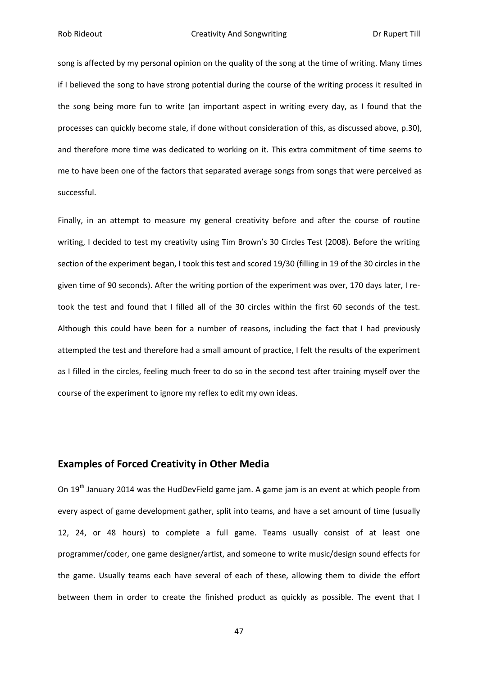song is affected by my personal opinion on the quality of the song at the time of writing. Many times if I believed the song to have strong potential during the course of the writing process it resulted in the song being more fun to write (an important aspect in writing every day, as I found that the processes can quickly become stale, if done without consideration of this, as discussed above, p.30), and therefore more time was dedicated to working on it. This extra commitment of time seems to me to have been one of the factors that separated average songs from songs that were perceived as successful.

Finally, in an attempt to measure my general creativity before and after the course of routine writing, I decided to test my creativity using Tim Brown's 30 Circles Test (2008). Before the writing section of the experiment began, I took this test and scored 19/30 (filling in 19 of the 30 circles in the given time of 90 seconds). After the writing portion of the experiment was over, 170 days later, I retook the test and found that I filled all of the 30 circles within the first 60 seconds of the test. Although this could have been for a number of reasons, including the fact that I had previously attempted the test and therefore had a small amount of practice, I felt the results of the experiment as I filled in the circles, feeling much freer to do so in the second test after training myself over the course of the experiment to ignore my reflex to edit my own ideas.

#### <span id="page-48-0"></span>**Examples of Forced Creativity in Other Media**

On 19<sup>th</sup> January 2014 was the HudDevField game jam. A game jam is an event at which people from every aspect of game development gather, split into teams, and have a set amount of time (usually 12, 24, or 48 hours) to complete a full game. Teams usually consist of at least one programmer/coder, one game designer/artist, and someone to write music/design sound effects for the game. Usually teams each have several of each of these, allowing them to divide the effort between them in order to create the finished product as quickly as possible. The event that I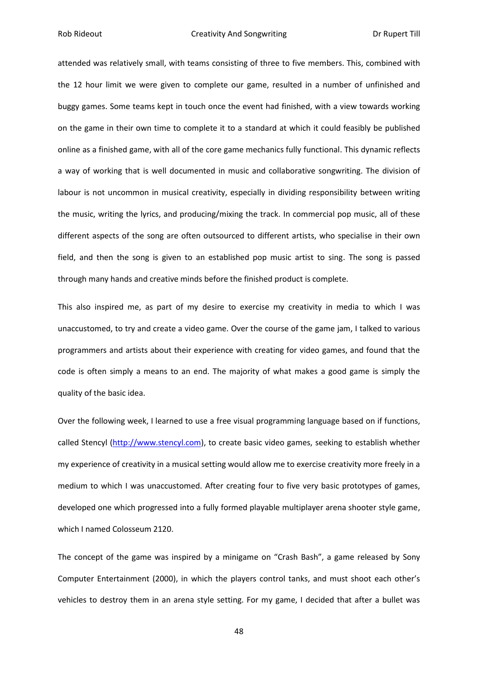attended was relatively small, with teams consisting of three to five members. This, combined with the 12 hour limit we were given to complete our game, resulted in a number of unfinished and buggy games. Some teams kept in touch once the event had finished, with a view towards working on the game in their own time to complete it to a standard at which it could feasibly be published online as a finished game, with all of the core game mechanics fully functional. This dynamic reflects a way of working that is well documented in music and collaborative songwriting. The division of labour is not uncommon in musical creativity, especially in dividing responsibility between writing the music, writing the lyrics, and producing/mixing the track. In commercial pop music, all of these different aspects of the song are often outsourced to different artists, who specialise in their own field, and then the song is given to an established pop music artist to sing. The song is passed through many hands and creative minds before the finished product is complete.

This also inspired me, as part of my desire to exercise my creativity in media to which I was unaccustomed, to try and create a video game. Over the course of the game jam, I talked to various programmers and artists about their experience with creating for video games, and found that the code is often simply a means to an end. The majority of what makes a good game is simply the quality of the basic idea.

Over the following week, I learned to use a free visual programming language based on if functions, called Stencyl [\(http://www.stencyl.com\)](http://www.stencyl.com/), to create basic video games, seeking to establish whether my experience of creativity in a musical setting would allow me to exercise creativity more freely in a medium to which I was unaccustomed. After creating four to five very basic prototypes of games, developed one which progressed into a fully formed playable multiplayer arena shooter style game, which I named Colosseum 2120.

The concept of the game was inspired by a minigame on "Crash Bash", a game released by Sony Computer Entertainment (2000), in which the players control tanks, and must shoot each other's vehicles to destroy them in an arena style setting. For my game, I decided that after a bullet was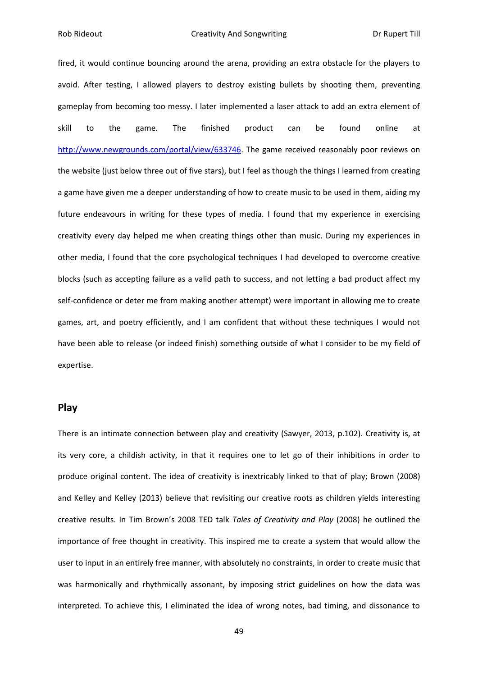fired, it would continue bouncing around the arena, providing an extra obstacle for the players to avoid. After testing, I allowed players to destroy existing bullets by shooting them, preventing gameplay from becoming too messy. I later implemented a laser attack to add an extra element of skill to the game. The finished product can be found online at [http://www.newgrounds.com/portal/view/633746.](http://www.newgrounds.com/portal/view/633746) The game received reasonably poor reviews on the website (just below three out of five stars), but I feel as though the things I learned from creating a game have given me a deeper understanding of how to create music to be used in them, aiding my future endeavours in writing for these types of media. I found that my experience in exercising creativity every day helped me when creating things other than music. During my experiences in other media, I found that the core psychological techniques I had developed to overcome creative blocks (such as accepting failure as a valid path to success, and not letting a bad product affect my self-confidence or deter me from making another attempt) were important in allowing me to create games, art, and poetry efficiently, and I am confident that without these techniques I would not have been able to release (or indeed finish) something outside of what I consider to be my field of expertise.

#### <span id="page-50-0"></span>**Play**

There is an intimate connection between play and creativity (Sawyer, 2013, p.102). Creativity is, at its very core, a childish activity, in that it requires one to let go of their inhibitions in order to produce original content. The idea of creativity is inextricably linked to that of play; Brown (2008) and Kelley and Kelley (2013) believe that revisiting our creative roots as children yields interesting creative results. In Tim Brown's 2008 TED talk *Tales of Creativity and Play* (2008) he outlined the importance of free thought in creativity. This inspired me to create a system that would allow the user to input in an entirely free manner, with absolutely no constraints, in order to create music that was harmonically and rhythmically assonant, by imposing strict guidelines on how the data was interpreted. To achieve this, I eliminated the idea of wrong notes, bad timing, and dissonance to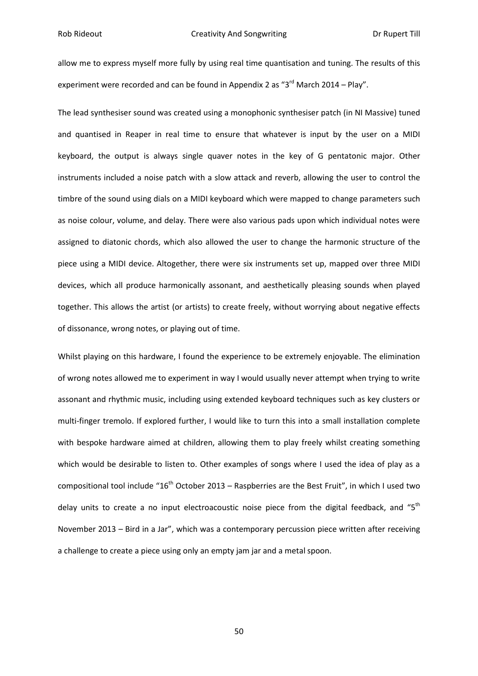allow me to express myself more fully by using real time quantisation and tuning. The results of this experiment were recorded and can be found in Appendix 2 as "3<sup>rd</sup> March 2014 – Play".

The lead synthesiser sound was created using a monophonic synthesiser patch (in NI Massive) tuned and quantised in Reaper in real time to ensure that whatever is input by the user on a MIDI keyboard, the output is always single quaver notes in the key of G pentatonic major. Other instruments included a noise patch with a slow attack and reverb, allowing the user to control the timbre of the sound using dials on a MIDI keyboard which were mapped to change parameters such as noise colour, volume, and delay. There were also various pads upon which individual notes were assigned to diatonic chords, which also allowed the user to change the harmonic structure of the piece using a MIDI device. Altogether, there were six instruments set up, mapped over three MIDI devices, which all produce harmonically assonant, and aesthetically pleasing sounds when played together. This allows the artist (or artists) to create freely, without worrying about negative effects of dissonance, wrong notes, or playing out of time.

Whilst playing on this hardware, I found the experience to be extremely enjoyable. The elimination of wrong notes allowed me to experiment in way I would usually never attempt when trying to write assonant and rhythmic music, including using extended keyboard techniques such as key clusters or multi-finger tremolo. If explored further, I would like to turn this into a small installation complete with bespoke hardware aimed at children, allowing them to play freely whilst creating something which would be desirable to listen to. Other examples of songs where I used the idea of play as a compositional tool include " $16<sup>th</sup>$  October 2013 – Raspberries are the Best Fruit", in which I used two delay units to create a no input electroacoustic noise piece from the digital feedback, and "5<sup>th</sup> November 2013 – Bird in a Jar", which was a contemporary percussion piece written after receiving a challenge to create a piece using only an empty jam jar and a metal spoon.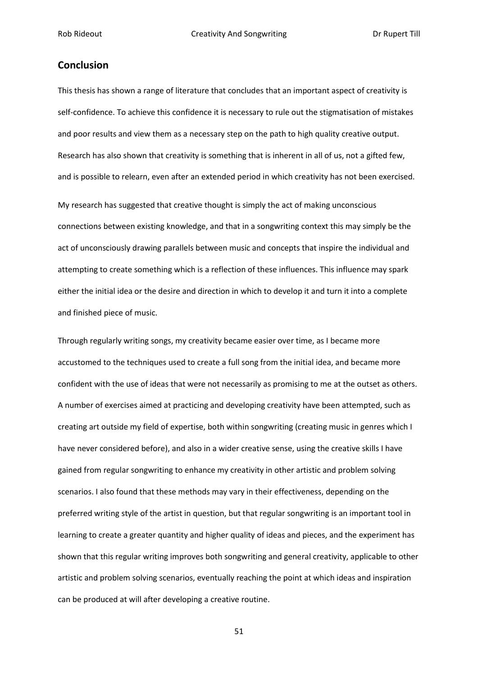#### <span id="page-52-0"></span>**Conclusion**

This thesis has shown a range of literature that concludes that an important aspect of creativity is self-confidence. To achieve this confidence it is necessary to rule out the stigmatisation of mistakes and poor results and view them as a necessary step on the path to high quality creative output. Research has also shown that creativity is something that is inherent in all of us, not a gifted few, and is possible to relearn, even after an extended period in which creativity has not been exercised.

My research has suggested that creative thought is simply the act of making unconscious connections between existing knowledge, and that in a songwriting context this may simply be the act of unconsciously drawing parallels between music and concepts that inspire the individual and attempting to create something which is a reflection of these influences. This influence may spark either the initial idea or the desire and direction in which to develop it and turn it into a complete and finished piece of music.

Through regularly writing songs, my creativity became easier over time, as I became more accustomed to the techniques used to create a full song from the initial idea, and became more confident with the use of ideas that were not necessarily as promising to me at the outset as others. A number of exercises aimed at practicing and developing creativity have been attempted, such as creating art outside my field of expertise, both within songwriting (creating music in genres which I have never considered before), and also in a wider creative sense, using the creative skills I have gained from regular songwriting to enhance my creativity in other artistic and problem solving scenarios. I also found that these methods may vary in their effectiveness, depending on the preferred writing style of the artist in question, but that regular songwriting is an important tool in learning to create a greater quantity and higher quality of ideas and pieces, and the experiment has shown that this regular writing improves both songwriting and general creativity, applicable to other artistic and problem solving scenarios, eventually reaching the point at which ideas and inspiration can be produced at will after developing a creative routine.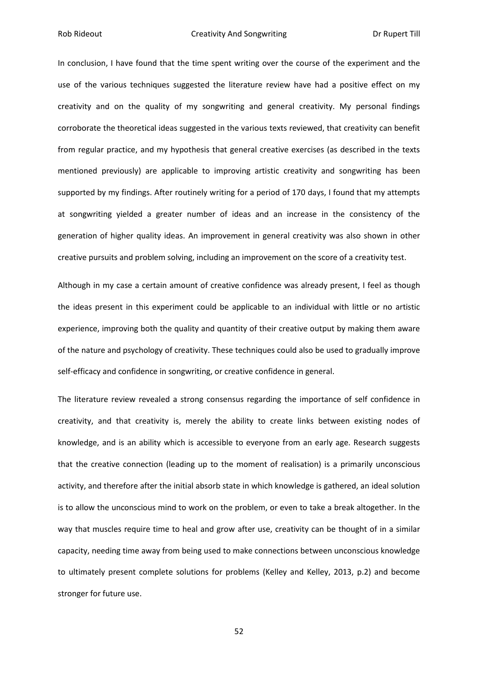In conclusion, I have found that the time spent writing over the course of the experiment and the use of the various techniques suggested the literature review have had a positive effect on my creativity and on the quality of my songwriting and general creativity. My personal findings corroborate the theoretical ideas suggested in the various texts reviewed, that creativity can benefit from regular practice, and my hypothesis that general creative exercises (as described in the texts mentioned previously) are applicable to improving artistic creativity and songwriting has been supported by my findings. After routinely writing for a period of 170 days, I found that my attempts at songwriting yielded a greater number of ideas and an increase in the consistency of the generation of higher quality ideas. An improvement in general creativity was also shown in other creative pursuits and problem solving, including an improvement on the score of a creativity test.

Although in my case a certain amount of creative confidence was already present, I feel as though the ideas present in this experiment could be applicable to an individual with little or no artistic experience, improving both the quality and quantity of their creative output by making them aware of the nature and psychology of creativity. These techniques could also be used to gradually improve self-efficacy and confidence in songwriting, or creative confidence in general.

The literature review revealed a strong consensus regarding the importance of self confidence in creativity, and that creativity is, merely the ability to create links between existing nodes of knowledge, and is an ability which is accessible to everyone from an early age. Research suggests that the creative connection (leading up to the moment of realisation) is a primarily unconscious activity, and therefore after the initial absorb state in which knowledge is gathered, an ideal solution is to allow the unconscious mind to work on the problem, or even to take a break altogether. In the way that muscles require time to heal and grow after use, creativity can be thought of in a similar capacity, needing time away from being used to make connections between unconscious knowledge to ultimately present complete solutions for problems (Kelley and Kelley, 2013, p.2) and become stronger for future use.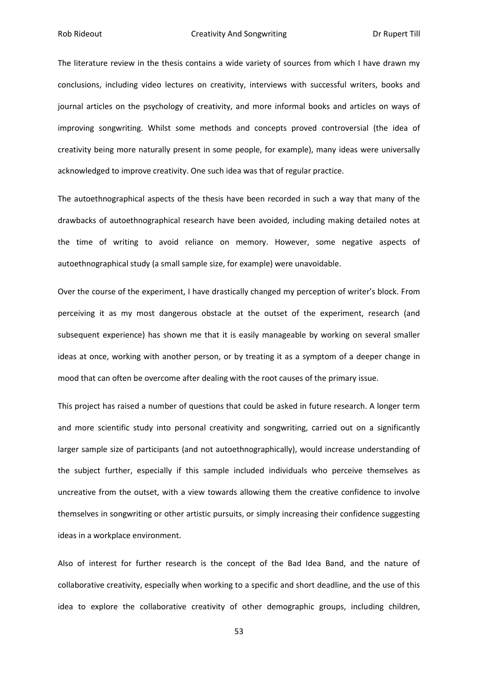The literature review in the thesis contains a wide variety of sources from which I have drawn my conclusions, including video lectures on creativity, interviews with successful writers, books and journal articles on the psychology of creativity, and more informal books and articles on ways of improving songwriting. Whilst some methods and concepts proved controversial (the idea of creativity being more naturally present in some people, for example), many ideas were universally acknowledged to improve creativity. One such idea was that of regular practice.

The autoethnographical aspects of the thesis have been recorded in such a way that many of the drawbacks of autoethnographical research have been avoided, including making detailed notes at the time of writing to avoid reliance on memory. However, some negative aspects of autoethnographical study (a small sample size, for example) were unavoidable.

Over the course of the experiment, I have drastically changed my perception of writer's block. From perceiving it as my most dangerous obstacle at the outset of the experiment, research (and subsequent experience) has shown me that it is easily manageable by working on several smaller ideas at once, working with another person, or by treating it as a symptom of a deeper change in mood that can often be overcome after dealing with the root causes of the primary issue.

This project has raised a number of questions that could be asked in future research. A longer term and more scientific study into personal creativity and songwriting, carried out on a significantly larger sample size of participants (and not autoethnographically), would increase understanding of the subject further, especially if this sample included individuals who perceive themselves as uncreative from the outset, with a view towards allowing them the creative confidence to involve themselves in songwriting or other artistic pursuits, or simply increasing their confidence suggesting ideas in a workplace environment.

Also of interest for further research is the concept of the Bad Idea Band, and the nature of collaborative creativity, especially when working to a specific and short deadline, and the use of this idea to explore the collaborative creativity of other demographic groups, including children,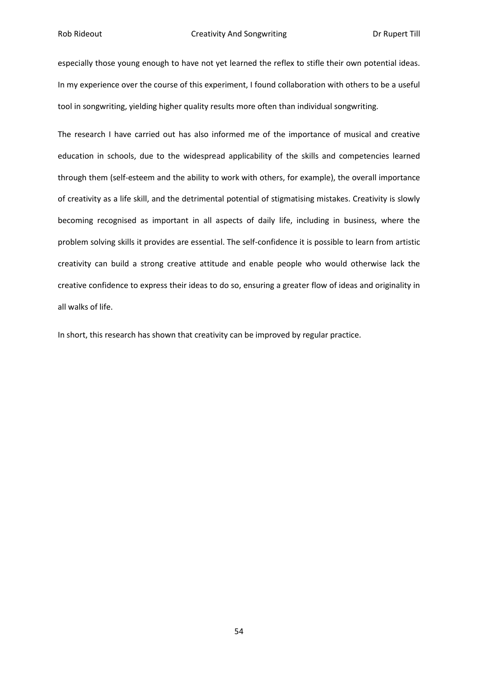especially those young enough to have not yet learned the reflex to stifle their own potential ideas. In my experience over the course of this experiment, I found collaboration with others to be a useful tool in songwriting, yielding higher quality results more often than individual songwriting.

The research I have carried out has also informed me of the importance of musical and creative education in schools, due to the widespread applicability of the skills and competencies learned through them (self-esteem and the ability to work with others, for example), the overall importance of creativity as a life skill, and the detrimental potential of stigmatising mistakes. Creativity is slowly becoming recognised as important in all aspects of daily life, including in business, where the problem solving skills it provides are essential. The self-confidence it is possible to learn from artistic creativity can build a strong creative attitude and enable people who would otherwise lack the creative confidence to express their ideas to do so, ensuring a greater flow of ideas and originality in all walks of life.

In short, this research has shown that creativity can be improved by regular practice.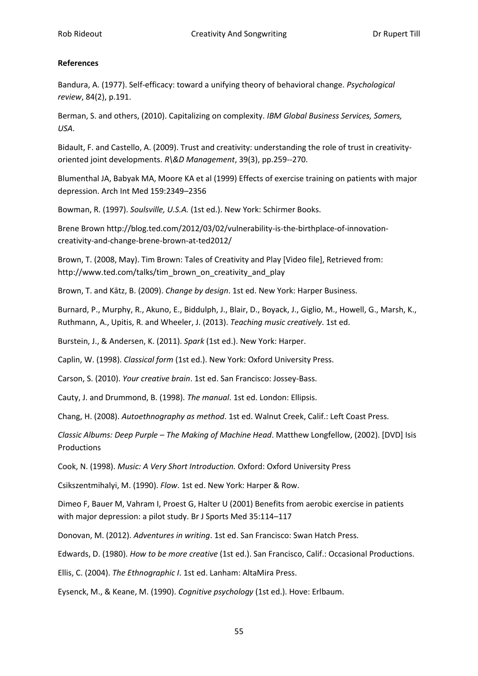#### <span id="page-56-0"></span>**References**

Bandura, A. (1977). Self-efficacy: toward a unifying theory of behavioral change. *Psychological review*, 84(2), p.191.

Berman, S. and others, (2010). Capitalizing on complexity. *IBM Global Business Services, Somers, USA*.

Bidault, F. and Castello, A. (2009). Trust and creativity: understanding the role of trust in creativityoriented joint developments. *R\&D Management*, 39(3), pp.259--270.

Blumenthal JA, Babyak MA, Moore KA et al (1999) Effects of exercise training on patients with major depression. Arch Int Med 159:2349–2356

Bowman, R. (1997). *Soulsville, U.S.A.* (1st ed.). New York: Schirmer Books.

Brene Brown [http://blog.ted.com/2012/03/02/vulnerability-is-the-birthplace-of-innovation](http://blog.ted.com/2012/03/02/vulnerability-is-the-birthplace-of-innovation-creativity-and-change-brene-brown-at-ted2012/)[creativity-and-change-brene-brown-at-ted2012/](http://blog.ted.com/2012/03/02/vulnerability-is-the-birthplace-of-innovation-creativity-and-change-brene-brown-at-ted2012/)

Brown, T. (2008, May). Tim Brown: Tales of Creativity and Play [Video file], Retrieved from: [http://www.ted.com/talks/tim\\_brown\\_on\\_creativity\\_and\\_play](http://www.ted.com/talks/tim_brown_on_creativity_and_play)

Brown, T. and Kātz, B. (2009). *Change by design*. 1st ed. New York: Harper Business.

Burnard, P., Murphy, R., Akuno, E., Biddulph, J., Blair, D., Boyack, J., Giglio, M., Howell, G., Marsh, K., Ruthmann, A., Upitis, R. and Wheeler, J. (2013). *Teaching music creatively*. 1st ed.

Burstein, J., & Andersen, K. (2011). *Spark* (1st ed.). New York: Harper.

Caplin, W. (1998). *Classical form* (1st ed.). New York: Oxford University Press.

Carson, S. (2010). *Your creative brain*. 1st ed. San Francisco: Jossey-Bass.

Cauty, J. and Drummond, B. (1998). *The manual*. 1st ed. London: Ellipsis.

Chang, H. (2008). *Autoethnography as method*. 1st ed. Walnut Creek, Calif.: Left Coast Press.

*Classic Albums: Deep Purple – The Making of Machine Head*. Matthew Longfellow, (2002). [DVD] Isis Productions

Cook, N. (1998). *Music: A Very Short Introduction.* Oxford: Oxford University Press

Csikszentmihalyi, M. (1990). *Flow*. 1st ed. New York: Harper & Row.

Dimeo F, Bauer M, Vahram I, Proest G, Halter U (2001) Benefits from aerobic exercise in patients with major depression: a pilot study. Br J Sports Med 35:114–117

Donovan, M. (2012). *Adventures in writing*. 1st ed. San Francisco: Swan Hatch Press.

Edwards, D. (1980). *How to be more creative* (1st ed.). San Francisco, Calif.: Occasional Productions.

Ellis, C. (2004). *The Ethnographic I*. 1st ed. Lanham: AltaMira Press.

Eysenck, M., & Keane, M. (1990). *Cognitive psychology* (1st ed.). Hove: Erlbaum.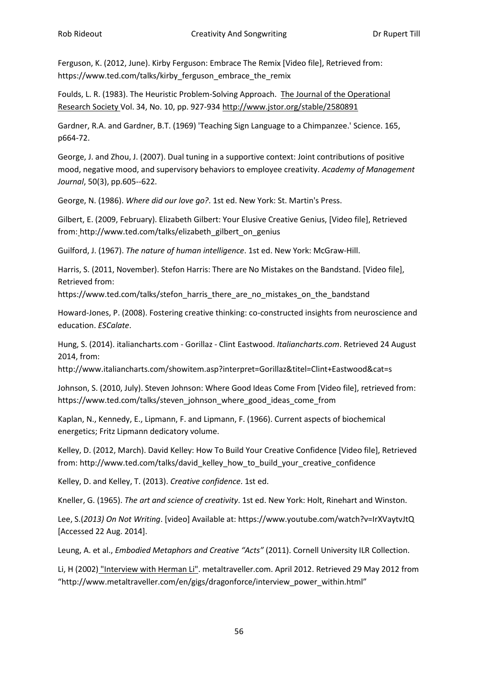Ferguson, K. (2012, June). Kirby Ferguson: Embrace The Remix [Video file], Retrieved from: https://www.ted.com/talks/kirby ferguson\_embrace\_the\_remix

Foulds, L. R. (1983). The Heuristic Problem-Solving Approach. [The Journal of the Operational](http://www.jstor.org.libaccess.hud.ac.uk/action/showPublication?journalCode=joperresesoci)  [Research Society](http://www.jstor.org.libaccess.hud.ac.uk/action/showPublication?journalCode=joperresesoci) Vol. 34, No. 10, pp. 927-934 <http://www.jstor.org/stable/2580891>

Gardner, R.A. and Gardner, B.T. (1969) 'Teaching Sign Language to a Chimpanzee.' Science. 165, p664-72.

George, J. and Zhou, J. (2007). Dual tuning in a supportive context: Joint contributions of positive mood, negative mood, and supervisory behaviors to employee creativity. *Academy of Management Journal*, 50(3), pp.605--622.

George, N. (1986). *Where did our love go?*. 1st ed. New York: St. Martin's Press.

Gilbert, E. (2009, February). Elizabeth Gilbert: Your Elusive Creative Genius, [Video file], Retrieved from: http://www.ted.com/talks/elizabeth\_gilbert\_on\_genius

Guilford, J. (1967). *The nature of human intelligence*. 1st ed. New York: McGraw-Hill.

Harris, S. (2011, November). Stefon Harris: There are No Mistakes on the Bandstand. [Video file], Retrieved from:

[https://www.ted.com/talks/stefon\\_harris\\_there\\_are\\_no\\_mistakes\\_on\\_the\\_bandstand](https://www.ted.com/talks/stefon_harris_there_are_no_mistakes_on_the_bandstand)

Howard-Jones, P. (2008). Fostering creative thinking: co-constructed insights from neuroscience and education. *ESCalate*.

Hung, S. (2014). italiancharts.com - Gorillaz - Clint Eastwood. *Italiancharts.com*. Retrieved 24 August 2014, from:

http://www.italiancharts.com/showitem.asp?interpret=Gorillaz&titel=Clint+Eastwood&cat=s

Johnson, S. (2010, July). Steven Johnson: Where Good Ideas Come From [Video file], retrieved from: https://www.ted.com/talks/steven\_johnson\_where\_good\_ideas\_come\_from

Kaplan, N., Kennedy, E., Lipmann, F. and Lipmann, F. (1966). Current aspects of biochemical energetics; Fritz Lipmann dedicatory volume.

Kelley, D. (2012, March). David Kelley: How To Build Your Creative Confidence [Video file], Retrieved from: [http://www.ted.com/talks/david\\_kelley\\_how\\_to\\_build\\_your\\_creative\\_confidence](http://www.ted.com/talks/david_kelley_how_to_build_your_creative_confidence)

Kelley, D. and Kelley, T. (2013). *Creative confidence*. 1st ed.

Kneller, G. (1965). *The art and science of creativity*. 1st ed. New York: Holt, Rinehart and Winston.

Lee, S.(*2013) On Not Writing*. [video] Available at: https://www.youtube.com/watch?v=IrXVaytvJtQ [Accessed 22 Aug. 2014].

Leung, A. et al., *Embodied Metaphors and Creative "Acts"* (2011). Cornell University ILR Collection.

Li, H (2002) ["Interview with Herman Li".](http://www.metaltraveller.com/en/gigs/dragonforce/interview_power_within.html) metaltraveller.com. April 2012. Retrieved 29 May 2012 from "http://www.metaltraveller.com/en/gigs/dragonforce/interview\_power\_within.html"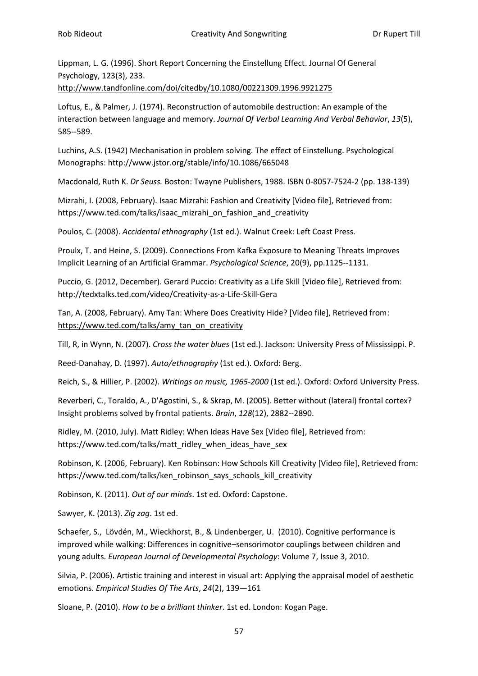Lippman, L. G. (1996). Short Report Concerning the Einstellung Effect. Journal Of General Psychology, 123(3), 233.

<http://www.tandfonline.com/doi/citedby/10.1080/00221309.1996.9921275>

Loftus, E., & Palmer, J. (1974). Reconstruction of automobile destruction: An example of the interaction between language and memory. *Journal Of Verbal Learning And Verbal Behavior*, *13*(5), 585--589.

Luchins, A.S. (1942) Mechanisation in problem solving. The effect of Einstellung. Psychological Monographs: [http://www.jstor.org/stable/info/10.1086/665048](http://www.jstor.org/stable/info/10.1086/665048?__redirected)

Macdonald, Ruth K. *Dr Seuss.* Boston: Twayne Publishers, 1988. ISBN 0-8057-7524-2 (pp. 138-139)

Mizrahi, I. (2008, February). Isaac Mizrahi: Fashion and Creativity [Video file], Retrieved from: [https://www.ted.com/talks/isaac\\_mizrahi\\_on\\_fashion\\_and\\_creativity](https://www.ted.com/talks/isaac_mizrahi_on_fashion_and_creativity)

Poulos, C. (2008). *Accidental ethnography* (1st ed.). Walnut Creek: Left Coast Press.

Proulx, T. and Heine, S. (2009). Connections From Kafka Exposure to Meaning Threats Improves Implicit Learning of an Artificial Grammar. *Psychological Science*, 20(9), pp.1125--1131.

Puccio, G. (2012, December). Gerard Puccio: Creativity as a Life Skill [Video file], Retrieved from: http://tedxtalks.ted.com/video/Creativity-as-a-Life-Skill-Gera

Tan, A. (2008, February). Amy Tan: Where Does Creativity Hide? [Video file], Retrieved from: [https://www.ted.com/talks/amy\\_tan\\_on\\_creativity](https://www.ted.com/talks/amy_tan_on_creativity)

Till, R, in Wynn, N. (2007). *Cross the water blues* (1st ed.). Jackson: University Press of Mississippi. P.

Reed-Danahay, D. (1997). *Auto/ethnography* (1st ed.). Oxford: Berg.

Reich, S., & Hillier, P. (2002). *Writings on music, 1965-2000* (1st ed.). Oxford: Oxford University Press.

Reverberi, C., Toraldo, A., D'Agostini, S., & Skrap, M. (2005). Better without (lateral) frontal cortex? Insight problems solved by frontal patients. *Brain*, *128*(12), 2882--2890.

Ridley, M. (2010, July). Matt Ridley: When Ideas Have Sex [Video file], Retrieved from: https://www.ted.com/talks/matt\_ridley\_when\_ideas\_have\_sex

Robinson, K. (2006, February). Ken Robinson: How Schools Kill Creativity [Video file], Retrieved from: [https://www.ted.com/talks/ken\\_robinson\\_says\\_schools\\_kill\\_creativity](https://www.ted.com/talks/ken_robinson_says_schools_kill_creativity)

Robinson, K. (2011). *Out of our minds*. 1st ed. Oxford: Capstone.

Sawyer, K. (2013). *Zig zag*. 1st ed.

Schaefer, S., Lövdén, M., Wieckhorst, B., & Lindenberger, U. (2010). Cognitive performance is improved while walking: Differences in cognitive–sensorimotor couplings between children and young adults. *European Journal of Developmental Psychology*: Volume 7, Issue 3, 2010.

Silvia, P. (2006). Artistic training and interest in visual art: Applying the appraisal model of aesthetic emotions. *Empirical Studies Of The Arts*, *24*(2), 139—161

Sloane, P. (2010). *How to be a brilliant thinker*. 1st ed. London: Kogan Page.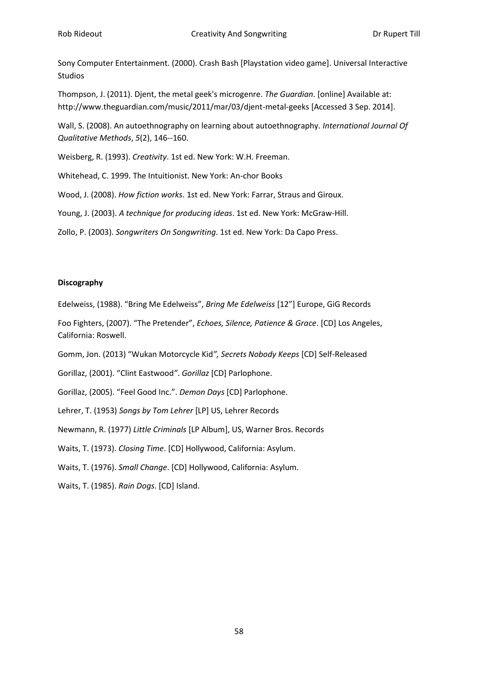Sony Computer Entertainment. (2000). Crash Bash [Playstation video game]. Universal Interactive Studios

Thompson, J. (2011). Djent, the metal geek's microgenre. *The Guardian*. [online] Available at: http://www.theguardian.com/music/2011/mar/03/djent-metal-geeks [Accessed 3 Sep. 2014].

Wall, S. (2008). An autoethnography on learning about autoethnography. *International Journal Of Qualitative Methods*, *5*(2), 146--160.

Weisberg, R. (1993). *Creativity*. 1st ed. New York: W.H. Freeman.

Whitehead, C. 1999. The Intuitionist. New York: An-chor Books

Wood, J. (2008). *How fiction works*. 1st ed. New York: Farrar, Straus and Giroux.

Young, J. (2003). *A technique for producing ideas*. 1st ed. New York: McGraw-Hill.

Zollo, P. (2003). *Songwriters On Songwriting*. 1st ed. New York: Da Capo Press.

#### <span id="page-59-0"></span>**Discography**

Edelweiss, (1988). "Bring Me Edelweiss", *Bring Me Edelweiss* [12"] Europe, GiG Records

Foo Fighters, (2007). "The Pretender", *Echoes, Silence, Patience & Grace*. [CD] Los Angeles, California: Roswell.

Gomm, Jon. (2013) "Wukan Motorcycle Kid*", Secrets Nobody Keeps* [CD] Self-Released

Gorillaz, (2001). "Clint Eastwood*"*. *Gorillaz* [CD] Parlophone.

Gorillaz, (2005). "Feel Good Inc.". *Demon Days* [CD] Parlophone.

Lehrer, T. (1953) *Songs by Tom Lehrer* [LP] US, Lehrer Records

Newmann, R. (1977) *Little Criminals* [LP Album], US, Warner Bros. Records

Waits, T. (1973). *Closing Time*. [CD] Hollywood, California: Asylum.

Waits, T. (1976). *Small Change*. [CD] Hollywood, California: Asylum.

Waits, T. (1985). *Rain Dogs*. [CD] Island.